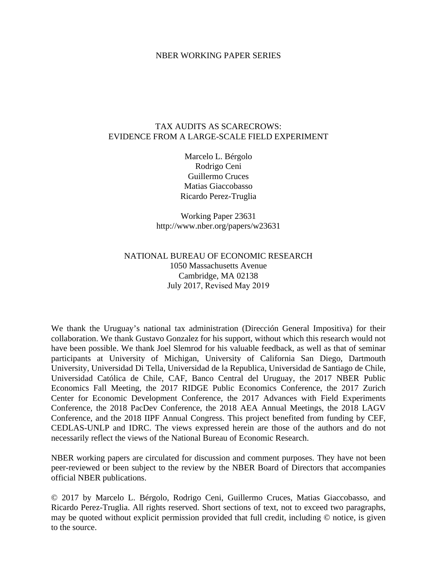#### NBER WORKING PAPER SERIES

#### TAX AUDITS AS SCARECROWS: EVIDENCE FROM A LARGE-SCALE FIELD EXPERIMENT

Marcelo L. Bérgolo Rodrigo Ceni Guillermo Cruces Matias Giaccobasso Ricardo Perez-Truglia

Working Paper 23631 http://www.nber.org/papers/w23631

#### NATIONAL BUREAU OF ECONOMIC RESEARCH 1050 Massachusetts Avenue Cambridge, MA 02138 July 2017, Revised May 2019

We thank the Uruguay's national tax administration (Dirección General Impositiva) for their collaboration. We thank Gustavo Gonzalez for his support, without which this research would not have been possible. We thank Joel Slemrod for his valuable feedback, as well as that of seminar participants at University of Michigan, University of California San Diego, Dartmouth University, Universidad Di Tella, Universidad de la Republica, Universidad de Santiago de Chile, Universidad Católica de Chile, CAF, Banco Central del Uruguay, the 2017 NBER Public Economics Fall Meeting, the 2017 RIDGE Public Economics Conference, the 2017 Zurich Center for Economic Development Conference, the 2017 Advances with Field Experiments Conference, the 2018 PacDev Conference, the 2018 AEA Annual Meetings, the 2018 LAGV Conference, and the 2018 IIPF Annual Congress. This project benefited from funding by CEF, CEDLAS-UNLP and IDRC. The views expressed herein are those of the authors and do not necessarily reflect the views of the National Bureau of Economic Research.

NBER working papers are circulated for discussion and comment purposes. They have not been peer-reviewed or been subject to the review by the NBER Board of Directors that accompanies official NBER publications.

© 2017 by Marcelo L. Bérgolo, Rodrigo Ceni, Guillermo Cruces, Matias Giaccobasso, and Ricardo Perez-Truglia. All rights reserved. Short sections of text, not to exceed two paragraphs, may be quoted without explicit permission provided that full credit, including © notice, is given to the source.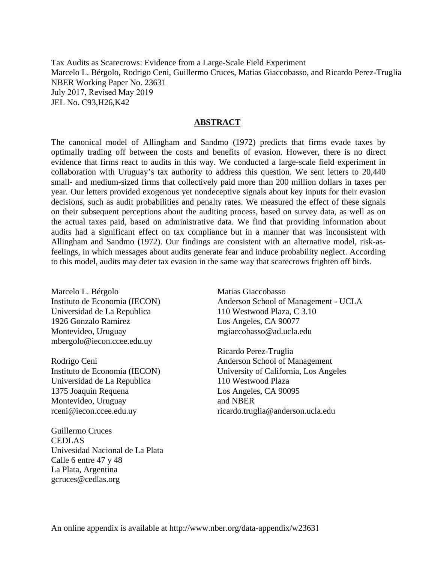Tax Audits as Scarecrows: Evidence from a Large-Scale Field Experiment Marcelo L. Bérgolo, Rodrigo Ceni, Guillermo Cruces, Matias Giaccobasso, and Ricardo Perez-Truglia NBER Working Paper No. 23631 July 2017, Revised May 2019 JEL No. C93,H26,K42

#### **ABSTRACT**

The canonical model of Allingham and Sandmo (1972) predicts that firms evade taxes by optimally trading off between the costs and benefits of evasion. However, there is no direct evidence that firms react to audits in this way. We conducted a large-scale field experiment in collaboration with Uruguay's tax authority to address this question. We sent letters to 20,440 small- and medium-sized firms that collectively paid more than 200 million dollars in taxes per year. Our letters provided exogenous yet nondeceptive signals about key inputs for their evasion decisions, such as audit probabilities and penalty rates. We measured the effect of these signals on their subsequent perceptions about the auditing process, based on survey data, as well as on the actual taxes paid, based on administrative data. We find that providing information about audits had a significant effect on tax compliance but in a manner that was inconsistent with Allingham and Sandmo (1972). Our findings are consistent with an alternative model, risk-asfeelings, in which messages about audits generate fear and induce probability neglect. According to this model, audits may deter tax evasion in the same way that scarecrows frighten off birds.

Marcelo L. Bérgolo Instituto de Economia (IECON) Universidad de La Republica 1926 Gonzalo Ramirez Montevideo, Uruguay mbergolo@iecon.ccee.edu.uy

Rodrigo Ceni Instituto de Economia (IECON) Universidad de La Republica 1375 Joaquin Requena Montevideo, Uruguay rceni@iecon.ccee.edu.uy

Guillermo Cruces CEDLAS Univesidad Nacional de La Plata Calle 6 entre 47 y 48 La Plata, Argentina gcruces@cedlas.org

Matias Giaccobasso Anderson School of Management - UCLA 110 Westwood Plaza, C 3.10 Los Angeles, CA 90077 mgiaccobasso@ad.ucla.edu

Ricardo Perez-Truglia Anderson School of Management University of California, Los Angeles 110 Westwood Plaza Los Angeles, CA 90095 and NBER ricardo.truglia@anderson.ucla.edu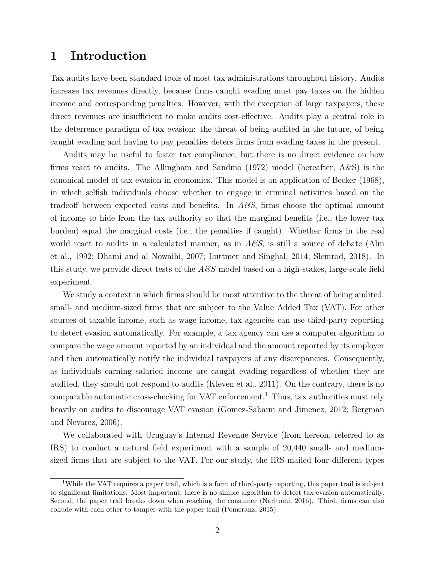# **1 Introduction**

Tax audits have been standard tools of most tax administrations throughout history. Audits increase tax revenues directly, because firms caught evading must pay taxes on the hidden income and corresponding penalties. However, with the exception of large taxpayers, these direct revenues are insufficient to make audits cost-effective. Audits play a central role in the deterrence paradigm of tax evasion: the threat of being audited in the future, of being caught evading and having to pay penalties deters firms from evading taxes in the present.

Audits may be useful to foster tax compliance, but there is no direct evidence on how firms react to audits. The Allingham and Sandmo (1972) model (hereafter, A&S) is the canonical model of tax evasion in economics. This model is an application of Becker (1968), in which selfish individuals choose whether to engage in criminal activities based on the tradeoff between expected costs and benefits. In *A&S*, firms choose the optimal amount of income to hide from the tax authority so that the marginal benefits (i.e., the lower tax burden) equal the marginal costs (i.e., the penalties if caught). Whether firms in the real world react to audits in a calculated manner, as in *A&S*, is still a source of debate (Alm et al., 1992; Dhami and al Nowaihi, 2007; Luttmer and Singhal, 2014; Slemrod, 2018). In this study, we provide direct tests of the *A&S* model based on a high-stakes, large-scale field experiment.

We study a context in which firms should be most attentive to the threat of being audited: small- and medium-sized firms that are subject to the Value Added Tax (VAT). For other sources of taxable income, such as wage income, tax agencies can use third-party reporting to detect evasion automatically. For example, a tax agency can use a computer algorithm to compare the wage amount reported by an individual and the amount reported by its employer and then automatically notify the individual taxpayers of any discrepancies. Consequently, as individuals earning salaried income are caught evading regardless of whether they are audited, they should not respond to audits (Kleven et al., 2011). On the contrary, there is no comparable automatic cross-checking for VAT enforcement.<sup>1</sup> Thus, tax authorities must rely heavily on audits to discourage VAT evasion (Gomez-Sabaini and Jimenez, 2012; Bergman and Nevarez, 2006).

We collaborated with Uruguay's Internal Revenue Service (from hereon, referred to as IRS) to conduct a natural field experiment with a sample of 20,440 small- and mediumsized firms that are subject to the VAT. For our study, the IRS mailed four different types

<sup>&</sup>lt;sup>1</sup>While the VAT requires a paper trail, which is a form of third-party reporting, this paper trail is subject to significant limitations. Most important, there is no simple algorithm to detect tax evasion automatically. Second, the paper trail breaks down when reaching the consumer (Naritomi, 2016). Third, firms can also collude with each other to tamper with the paper trail (Pomeranz, 2015).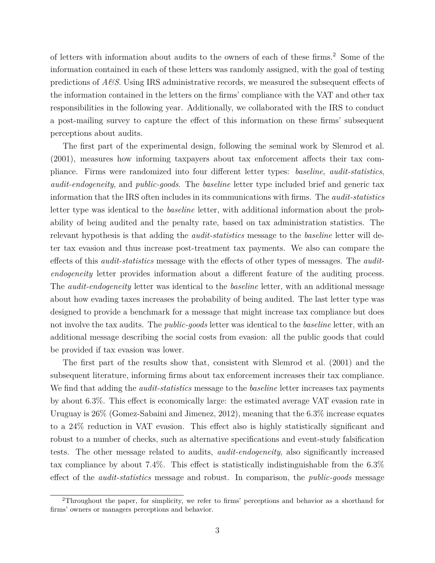of letters with information about audits to the owners of each of these firms.<sup>2</sup> Some of the information contained in each of these letters was randomly assigned, with the goal of testing predictions of *A&S*. Using IRS administrative records, we measured the subsequent effects of the information contained in the letters on the firms' compliance with the VAT and other tax responsibilities in the following year. Additionally, we collaborated with the IRS to conduct a post-mailing survey to capture the effect of this information on these firms' subsequent perceptions about audits.

The first part of the experimental design, following the seminal work by Slemrod et al. (2001), measures how informing taxpayers about tax enforcement affects their tax compliance. Firms were randomized into four different letter types: *baseline*, *audit-statistics*, *audit-endogeneity*, and *public-goods*. The *baseline* letter type included brief and generic tax information that the IRS often includes in its communications with firms. The *audit-statistics* letter type was identical to the *baseline* letter, with additional information about the probability of being audited and the penalty rate, based on tax administration statistics. The relevant hypothesis is that adding the *audit-statistics* message to the *baseline* letter will deter tax evasion and thus increase post-treatment tax payments. We also can compare the effects of this *audit-statistics* message with the effects of other types of messages. The *auditendogeneity* letter provides information about a different feature of the auditing process. The *audit-endogeneity* letter was identical to the *baseline* letter, with an additional message about how evading taxes increases the probability of being audited. The last letter type was designed to provide a benchmark for a message that might increase tax compliance but does not involve the tax audits. The *public-goods* letter was identical to the *baseline* letter, with an additional message describing the social costs from evasion: all the public goods that could be provided if tax evasion was lower.

The first part of the results show that, consistent with Slemrod et al. (2001) and the subsequent literature, informing firms about tax enforcement increases their tax compliance. We find that adding the *audit-statistics* message to the *baseline* letter increases tax payments by about 6.3%. This effect is economically large: the estimated average VAT evasion rate in Uruguay is 26% (Gomez-Sabaini and Jimenez, 2012), meaning that the 6.3% increase equates to a 24% reduction in VAT evasion. This effect also is highly statistically significant and robust to a number of checks, such as alternative specifications and event-study falsification tests. The other message related to audits, *audit-endogeneity*, also significantly increased tax compliance by about 7.4%. This effect is statistically indistinguishable from the 6.3% effect of the *audit-statistics* message and robust. In comparison, the *public-goods* message

<sup>&</sup>lt;sup>2</sup>Throughout the paper, for simplicity, we refer to firms' perceptions and behavior as a shorthand for firms' owners or managers perceptions and behavior.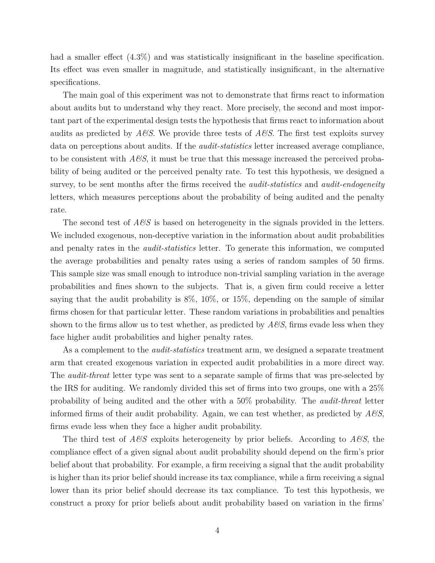had a smaller effect  $(4.3\%)$  and was statistically insignificant in the baseline specification. Its effect was even smaller in magnitude, and statistically insignificant, in the alternative specifications.

The main goal of this experiment was not to demonstrate that firms react to information about audits but to understand why they react. More precisely, the second and most important part of the experimental design tests the hypothesis that firms react to information about audits as predicted by  $A\mathscr{B}S$ . We provide three tests of  $A\mathscr{B}S$ . The first test exploits survey data on perceptions about audits. If the *audit-statistics* letter increased average compliance, to be consistent with  $A\mathcal{B}S$ , it must be true that this message increased the perceived probability of being audited or the perceived penalty rate. To test this hypothesis, we designed a survey, to be sent months after the firms received the *audit-statistics* and *audit-endogeneity* letters, which measures perceptions about the probability of being audited and the penalty rate.

The second test of *A&S* is based on heterogeneity in the signals provided in the letters. We included exogenous, non-deceptive variation in the information about audit probabilities and penalty rates in the *audit-statistics* letter. To generate this information, we computed the average probabilities and penalty rates using a series of random samples of 50 firms. This sample size was small enough to introduce non-trivial sampling variation in the average probabilities and fines shown to the subjects. That is, a given firm could receive a letter saying that the audit probability is 8%, 10%, or 15%, depending on the sample of similar firms chosen for that particular letter. These random variations in probabilities and penalties shown to the firms allow us to test whether, as predicted by *A&S*, firms evade less when they face higher audit probabilities and higher penalty rates.

As a complement to the *audit-statistics* treatment arm, we designed a separate treatment arm that created exogenous variation in expected audit probabilities in a more direct way. The *audit-threat* letter type was sent to a separate sample of firms that was pre-selected by the IRS for auditing. We randomly divided this set of firms into two groups, one with a 25% probability of being audited and the other with a 50% probability. The *audit-threat* letter informed firms of their audit probability. Again, we can test whether, as predicted by  $A\mathscr{G}S$ , firms evade less when they face a higher audit probability.

The third test of *A&S* exploits heterogeneity by prior beliefs. According to *A&S*, the compliance effect of a given signal about audit probability should depend on the firm's prior belief about that probability. For example, a firm receiving a signal that the audit probability is higher than its prior belief should increase its tax compliance, while a firm receiving a signal lower than its prior belief should decrease its tax compliance. To test this hypothesis, we construct a proxy for prior beliefs about audit probability based on variation in the firms'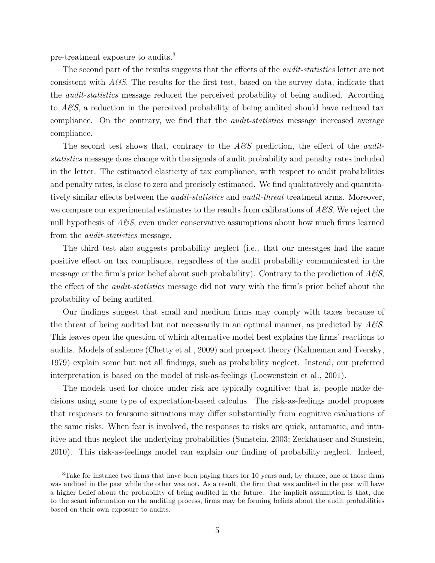pre-treatment exposure to audits.<sup>3</sup>

The second part of the results suggests that the effects of the *audit-statistics* letter are not consistent with *A&S*. The results for the first test, based on the survey data, indicate that the *audit-statistics* message reduced the perceived probability of being audited. According to *A&S*, a reduction in the perceived probability of being audited should have reduced tax compliance. On the contrary, we find that the *audit-statistics* message increased average compliance.

The second test shows that, contrary to the  $A\mathscr{C}S$  prediction, the effect of the *auditstatistics* message does change with the signals of audit probability and penalty rates included in the letter. The estimated elasticity of tax compliance, with respect to audit probabilities and penalty rates, is close to zero and precisely estimated. We find qualitatively and quantitatively similar effects between the *audit-statistics* and *audit-threat* treatment arms. Moreover, we compare our experimental estimates to the results from calibrations of *A&S*. We reject the null hypothesis of *A&S*, even under conservative assumptions about how much firms learned from the *audit-statistics* message.

The third test also suggests probability neglect (i.e., that our messages had the same positive effect on tax compliance, regardless of the audit probability communicated in the message or the firm's prior belief about such probability). Contrary to the prediction of *A&S*, the effect of the *audit-statistics* message did not vary with the firm's prior belief about the probability of being audited.

Our findings suggest that small and medium firms may comply with taxes because of the threat of being audited but not necessarily in an optimal manner, as predicted by *A&S*. This leaves open the question of which alternative model best explains the firms' reactions to audits. Models of salience (Chetty et al., 2009) and prospect theory (Kahneman and Tversky, 1979) explain some but not all findings, such as probability neglect. Instead, our preferred interpretation is based on the model of risk-as-feelings (Loewenstein et al., 2001).

The models used for choice under risk are typically cognitive; that is, people make decisions using some type of expectation-based calculus. The risk-as-feelings model proposes that responses to fearsome situations may differ substantially from cognitive evaluations of the same risks. When fear is involved, the responses to risks are quick, automatic, and intuitive and thus neglect the underlying probabilities (Sunstein, 2003; Zeckhauser and Sunstein, 2010). This risk-as-feelings model can explain our finding of probability neglect. Indeed,

<sup>3</sup>Take for instance two firms that have been paying taxes for 10 years and, by chance, one of those firms was audited in the past while the other was not. As a result, the firm that was audited in the past will have a higher belief about the probability of being audited in the future. The implicit assumption is that, due to the scant information on the auditing process, firms may be forming beliefs about the audit probabilities based on their own exposure to audits.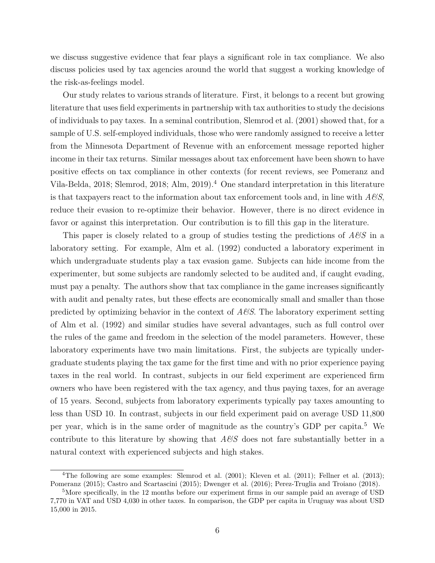we discuss suggestive evidence that fear plays a significant role in tax compliance. We also discuss policies used by tax agencies around the world that suggest a working knowledge of the risk-as-feelings model.

Our study relates to various strands of literature. First, it belongs to a recent but growing literature that uses field experiments in partnership with tax authorities to study the decisions of individuals to pay taxes. In a seminal contribution, Slemrod et al. (2001) showed that, for a sample of U.S. self-employed individuals, those who were randomly assigned to receive a letter from the Minnesota Department of Revenue with an enforcement message reported higher income in their tax returns. Similar messages about tax enforcement have been shown to have positive effects on tax compliance in other contexts (for recent reviews, see Pomeranz and Vila-Belda, 2018; Slemrod, 2018; Alm, 2019).<sup>4</sup> One standard interpretation in this literature is that taxpayers react to the information about tax enforcement tools and, in line with *A&S*, reduce their evasion to re-optimize their behavior. However, there is no direct evidence in favor or against this interpretation. Our contribution is to fill this gap in the literature.

This paper is closely related to a group of studies testing the predictions of *A&S* in a laboratory setting. For example, Alm et al. (1992) conducted a laboratory experiment in which undergraduate students play a tax evasion game. Subjects can hide income from the experimenter, but some subjects are randomly selected to be audited and, if caught evading, must pay a penalty. The authors show that tax compliance in the game increases significantly with audit and penalty rates, but these effects are economically small and smaller than those predicted by optimizing behavior in the context of *A&S*. The laboratory experiment setting of Alm et al. (1992) and similar studies have several advantages, such as full control over the rules of the game and freedom in the selection of the model parameters. However, these laboratory experiments have two main limitations. First, the subjects are typically undergraduate students playing the tax game for the first time and with no prior experience paying taxes in the real world. In contrast, subjects in our field experiment are experienced firm owners who have been registered with the tax agency, and thus paying taxes, for an average of 15 years. Second, subjects from laboratory experiments typically pay taxes amounting to less than USD 10. In contrast, subjects in our field experiment paid on average USD 11,800 per year, which is in the same order of magnitude as the country's GDP per capita.<sup>5</sup> We contribute to this literature by showing that *A&S* does not fare substantially better in a natural context with experienced subjects and high stakes.

<sup>4</sup>The following are some examples: Slemrod et al. (2001); Kleven et al. (2011); Fellner et al. (2013); Pomeranz (2015); Castro and Scartascini (2015); Dwenger et al. (2016); Perez-Truglia and Troiano (2018).

<sup>&</sup>lt;sup>5</sup>More specifically, in the 12 months before our experiment firms in our sample paid an average of USD 7,770 in VAT and USD 4,030 in other taxes. In comparison, the GDP per capita in Uruguay was about USD 15,000 in 2015.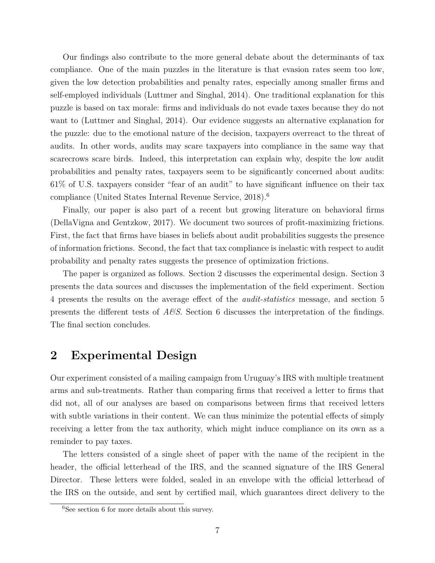Our findings also contribute to the more general debate about the determinants of tax compliance. One of the main puzzles in the literature is that evasion rates seem too low, given the low detection probabilities and penalty rates, especially among smaller firms and self-employed individuals (Luttmer and Singhal, 2014). One traditional explanation for this puzzle is based on tax morale: firms and individuals do not evade taxes because they do not want to (Luttmer and Singhal, 2014). Our evidence suggests an alternative explanation for the puzzle: due to the emotional nature of the decision, taxpayers overreact to the threat of audits. In other words, audits may scare taxpayers into compliance in the same way that scarecrows scare birds. Indeed, this interpretation can explain why, despite the low audit probabilities and penalty rates, taxpayers seem to be significantly concerned about audits: 61% of U.S. taxpayers consider "fear of an audit" to have significant influence on their tax compliance (United States Internal Revenue Service, 2018).<sup>6</sup>

Finally, our paper is also part of a recent but growing literature on behavioral firms (DellaVigna and Gentzkow, 2017). We document two sources of profit-maximizing frictions. First, the fact that firms have biases in beliefs about audit probabilities suggests the presence of information frictions. Second, the fact that tax compliance is inelastic with respect to audit probability and penalty rates suggests the presence of optimization frictions.

The paper is organized as follows. Section 2 discusses the experimental design. Section 3 presents the data sources and discusses the implementation of the field experiment. Section 4 presents the results on the average effect of the *audit-statistics* message, and section 5 presents the different tests of *A&S*. Section 6 discusses the interpretation of the findings. The final section concludes.

### **2 Experimental Design**

Our experiment consisted of a mailing campaign from Uruguay's IRS with multiple treatment arms and sub-treatments. Rather than comparing firms that received a letter to firms that did not, all of our analyses are based on comparisons between firms that received letters with subtle variations in their content. We can thus minimize the potential effects of simply receiving a letter from the tax authority, which might induce compliance on its own as a reminder to pay taxes.

The letters consisted of a single sheet of paper with the name of the recipient in the header, the official letterhead of the IRS, and the scanned signature of the IRS General Director. These letters were folded, sealed in an envelope with the official letterhead of the IRS on the outside, and sent by certified mail, which guarantees direct delivery to the

 ${}^{6}$ See section 6 for more details about this survey.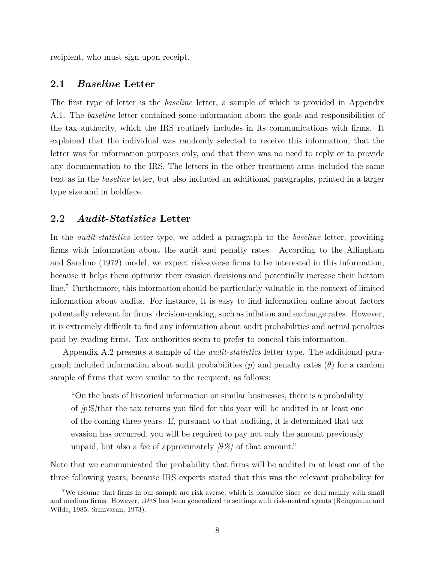recipient, who must sign upon receipt.

#### **2.1** *Baseline* **Letter**

The first type of letter is the *baseline* letter, a sample of which is provided in Appendix A.1. The *baseline* letter contained some information about the goals and responsibilities of the tax authority, which the IRS routinely includes in its communications with firms. It explained that the individual was randomly selected to receive this information, that the letter was for information purposes only, and that there was no need to reply or to provide any documentation to the IRS. The letters in the other treatment arms included the same text as in the *baseline* letter, but also included an additional paragraphs, printed in a larger type size and in boldface.

#### **2.2** *Audit-Statistics* **Letter**

In the *audit-statistics* letter type, we added a paragraph to the *baseline* letter, providing firms with information about the audit and penalty rates. According to the Allingham and Sandmo (1972) model, we expect risk-averse firms to be interested in this information, because it helps them optimize their evasion decisions and potentially increase their bottom line.<sup>7</sup> Furthermore, this information should be particularly valuable in the context of limited information about audits. For instance, it is easy to find information online about factors potentially relevant for firms' decision-making, such as inflation and exchange rates. However, it is extremely difficult to find any information about audit probabilities and actual penalties paid by evading firms. Tax authorities seem to prefer to conceal this information.

Appendix A.2 presents a sample of the *audit-statistics* letter type. The additional paragraph included information about audit probabilities  $(p)$  and penalty rates  $(\theta)$  for a random sample of firms that were similar to the recipient, as follows:

"On the basis of historical information on similar businesses, there is a probability of *[p%]*that the tax returns you filed for this year will be audited in at least one of the coming three years. If, pursuant to that auditing, it is determined that tax evasion has occurred, you will be required to pay not only the amount previously unpaid, but also a fee of approximately  $\beta\%$  of that amount."

Note that we communicated the probability that firms will be audited in at least one of the three following years, because IRS experts stated that this was the relevant probability for

<sup>7</sup>We assume that firms in our sample are risk averse, which is plausible since we deal mainly with small and medium firms. However, *A&S* has been generalized to settings with risk-neutral agents (Reinganum and Wilde, 1985; Srinivasan, 1973).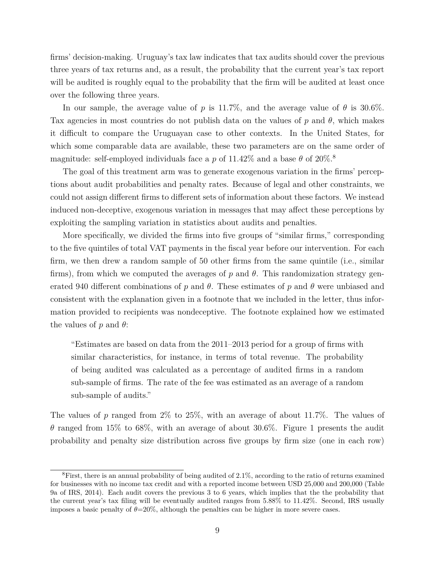firms' decision-making. Uruguay's tax law indicates that tax audits should cover the previous three years of tax returns and, as a result, the probability that the current year's tax report will be audited is roughly equal to the probability that the firm will be audited at least once over the following three years.

In our sample, the average value of *p* is 11.7%, and the average value of  $\theta$  is 30.6%. Tax agencies in most countries do not publish data on the values of  $p$  and  $\theta$ , which makes it difficult to compare the Uruguayan case to other contexts. In the United States, for which some comparable data are available, these two parameters are on the same order of magnitude: self-employed individuals face a *p* of 11.42\% and a base  $\theta$  of 20\%.<sup>8</sup>

The goal of this treatment arm was to generate exogenous variation in the firms' perceptions about audit probabilities and penalty rates. Because of legal and other constraints, we could not assign different firms to different sets of information about these factors. We instead induced non-deceptive, exogenous variation in messages that may affect these perceptions by exploiting the sampling variation in statistics about audits and penalties.

More specifically, we divided the firms into five groups of "similar firms," corresponding to the five quintiles of total VAT payments in the fiscal year before our intervention. For each firm, we then drew a random sample of 50 other firms from the same quintile (i.e., similar firms), from which we computed the averages of *p* and *θ*. This randomization strategy generated 940 different combinations of  $p$  and  $\theta$ . These estimates of  $p$  and  $\theta$  were unbiased and consistent with the explanation given in a footnote that we included in the letter, thus information provided to recipients was nondeceptive. The footnote explained how we estimated the values of *p* and *θ*:

"Estimates are based on data from the 2011–2013 period for a group of firms with similar characteristics, for instance, in terms of total revenue. The probability of being audited was calculated as a percentage of audited firms in a random sub-sample of firms. The rate of the fee was estimated as an average of a random sub-sample of audits."

The values of *p* ranged from 2% to 25%, with an average of about 11.7%. The values of *θ* ranged from 15% to 68%, with an average of about 30.6%. Figure 1 presents the audit probability and penalty size distribution across five groups by firm size (one in each row)

 ${}^{8}$ First, there is an annual probability of being audited of 2.1%, according to the ratio of returns examined for businesses with no income tax credit and with a reported income between USD 25,000 and 200,000 (Table 9a of IRS, 2014). Each audit covers the previous 3 to 6 years, which implies that the the probability that the current year's tax filing will be eventually audited ranges from 5.88% to 11.42%. Second, IRS usually imposes a basic penalty of  $\theta = 20\%$ , although the penalties can be higher in more severe cases.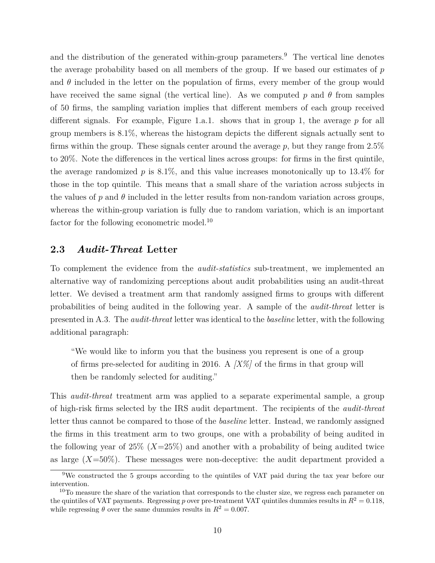and the distribution of the generated within-group parameters.<sup>9</sup> The vertical line denotes the average probability based on all members of the group. If we based our estimates of *p* and  $\theta$  included in the letter on the population of firms, every member of the group would have received the same signal (the vertical line). As we computed  $p$  and  $\theta$  from samples of 50 firms, the sampling variation implies that different members of each group received different signals. For example, Figure 1.a.1. shows that in group 1, the average *p* for all group members is 8.1%, whereas the histogram depicts the different signals actually sent to firms within the group. These signals center around the average *p*, but they range from 2.5% to 20%. Note the differences in the vertical lines across groups: for firms in the first quintile, the average randomized  $p$  is 8.1%, and this value increases monotonically up to 13.4% for those in the top quintile. This means that a small share of the variation across subjects in the values of  $p$  and  $\theta$  included in the letter results from non-random variation across groups, whereas the within-group variation is fully due to random variation, which is an important factor for the following econometric model.<sup>10</sup>

#### **2.3** *Audit-Threat* **Letter**

To complement the evidence from the *audit-statistics* sub-treatment, we implemented an alternative way of randomizing perceptions about audit probabilities using an audit-threat letter. We devised a treatment arm that randomly assigned firms to groups with different probabilities of being audited in the following year. A sample of the *audit-threat* letter is presented in A.3. The *audit-threat* letter was identical to the *baseline* letter, with the following additional paragraph:

"We would like to inform you that the business you represent is one of a group of firms pre-selected for auditing in 2016. A *[X%]* of the firms in that group will then be randomly selected for auditing."

This *audit-threat* treatment arm was applied to a separate experimental sample, a group of high-risk firms selected by the IRS audit department. The recipients of the *audit-threat* letter thus cannot be compared to those of the *baseline* letter. Instead, we randomly assigned the firms in this treatment arm to two groups, one with a probability of being audited in the following year of 25% (*X*=25%) and another with a probability of being audited twice as large (*X*=50%). These messages were non-deceptive: the audit department provided a

<sup>9</sup>We constructed the 5 groups according to the quintiles of VAT paid during the tax year before our intervention.

 $10$ To measure the share of the variation that corresponds to the cluster size, we regress each parameter on the quintiles of VAT payments. Regressing *p* over pre-treatment VAT quintiles dummies results in  $R^2 = 0.118$ , while regressing  $\theta$  over the same dummies results in  $R^2 = 0.007$ .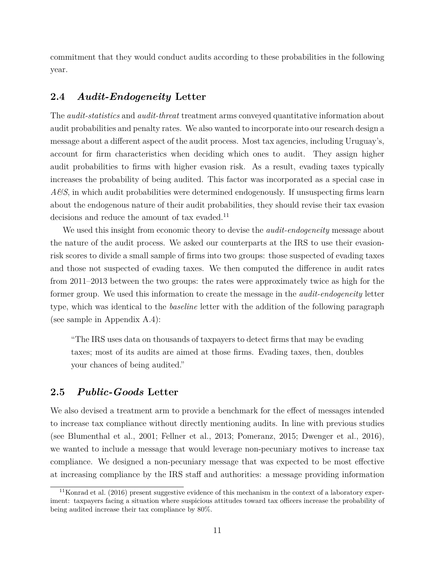commitment that they would conduct audits according to these probabilities in the following year.

### **2.4** *Audit-Endogeneity* **Letter**

The *audit-statistics* and *audit-threat* treatment arms conveyed quantitative information about audit probabilities and penalty rates. We also wanted to incorporate into our research design a message about a different aspect of the audit process. Most tax agencies, including Uruguay's, account for firm characteristics when deciding which ones to audit. They assign higher audit probabilities to firms with higher evasion risk. As a result, evading taxes typically increases the probability of being audited. This factor was incorporated as a special case in *A&S*, in which audit probabilities were determined endogenously. If unsuspecting firms learn about the endogenous nature of their audit probabilities, they should revise their tax evasion decisions and reduce the amount of tax evaded.<sup>11</sup>

We used this insight from economic theory to devise the *audit-endogeneity* message about the nature of the audit process. We asked our counterparts at the IRS to use their evasionrisk scores to divide a small sample of firms into two groups: those suspected of evading taxes and those not suspected of evading taxes. We then computed the difference in audit rates from 2011–2013 between the two groups: the rates were approximately twice as high for the former group. We used this information to create the message in the *audit-endogeneity* letter type, which was identical to the *baseline* letter with the addition of the following paragraph (see sample in Appendix A.4):

"The IRS uses data on thousands of taxpayers to detect firms that may be evading taxes; most of its audits are aimed at those firms. Evading taxes, then, doubles your chances of being audited."

### **2.5** *Public-Goods* **Letter**

We also devised a treatment arm to provide a benchmark for the effect of messages intended to increase tax compliance without directly mentioning audits. In line with previous studies (see Blumenthal et al., 2001; Fellner et al., 2013; Pomeranz, 2015; Dwenger et al., 2016), we wanted to include a message that would leverage non-pecuniary motives to increase tax compliance. We designed a non-pecuniary message that was expected to be most effective at increasing compliance by the IRS staff and authorities: a message providing information

 $11$ Konrad et al. (2016) present suggestive evidence of this mechanism in the context of a laboratory experiment: taxpayers facing a situation where suspicious attitudes toward tax officers increase the probability of being audited increase their tax compliance by 80%.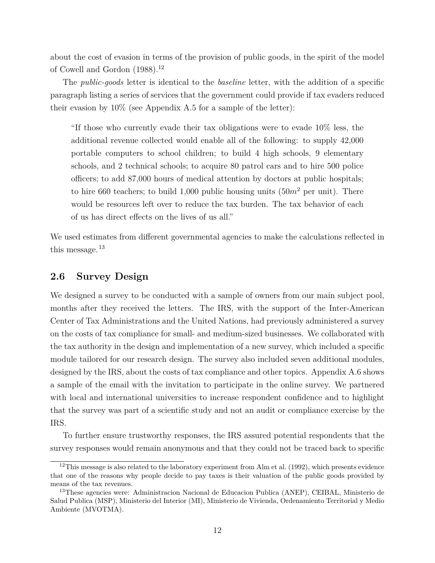about the cost of evasion in terms of the provision of public goods, in the spirit of the model of Cowell and Gordon  $(1988).^{12}$ 

The *public-goods* letter is identical to the *baseline* letter, with the addition of a specific paragraph listing a series of services that the government could provide if tax evaders reduced their evasion by 10% (see Appendix A.5 for a sample of the letter):

"If those who currently evade their tax obligations were to evade 10% less, the additional revenue collected would enable all of the following: to supply 42,000 portable computers to school children; to build 4 high schools, 9 elementary schools, and 2 technical schools; to acquire 80 patrol cars and to hire 500 police officers; to add 87,000 hours of medical attention by doctors at public hospitals; to hire 660 teachers; to build 1,000 public housing units  $(50m^2$  per unit). There would be resources left over to reduce the tax burden. The tax behavior of each of us has direct effects on the lives of us all."

We used estimates from different governmental agencies to make the calculations reflected in this message.  $^{13}$ 

#### **2.6 Survey Design**

We designed a survey to be conducted with a sample of owners from our main subject pool, months after they received the letters. The IRS, with the support of the Inter-American Center of Tax Administrations and the United Nations, had previously administered a survey on the costs of tax compliance for small- and medium-sized businesses. We collaborated with the tax authority in the design and implementation of a new survey, which included a specific module tailored for our research design. The survey also included seven additional modules, designed by the IRS, about the costs of tax compliance and other topics. Appendix A.6 shows a sample of the email with the invitation to participate in the online survey. We partnered with local and international universities to increase respondent confidence and to highlight that the survey was part of a scientific study and not an audit or compliance exercise by the IRS.

To further ensure trustworthy responses, the IRS assured potential respondents that the survey responses would remain anonymous and that they could not be traced back to specific

<sup>&</sup>lt;sup>12</sup>This message is also related to the laboratory experiment from Alm et al. (1992), which presents evidence that one of the reasons why people decide to pay taxes is their valuation of the public goods provided by means of the tax revenues.

<sup>&</sup>lt;sup>13</sup>These agencies were: Administracion Nacional de Educacion Publica (ANEP), CEIBAL, Ministerio de Salud Publica (MSP), Ministerio del Interior (MI), Ministerio de Vivienda, Ordenamiento Territorial y Medio Ambiente (MVOTMA).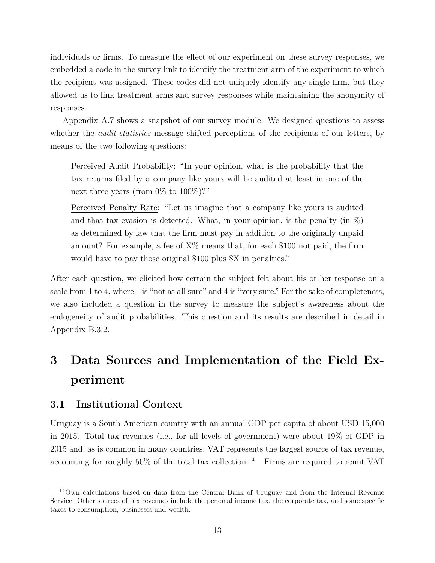individuals or firms. To measure the effect of our experiment on these survey responses, we embedded a code in the survey link to identify the treatment arm of the experiment to which the recipient was assigned. These codes did not uniquely identify any single firm, but they allowed us to link treatment arms and survey responses while maintaining the anonymity of responses.

Appendix A.7 shows a snapshot of our survey module. We designed questions to assess whether the *audit-statistics* message shifted perceptions of the recipients of our letters, by means of the two following questions:

Perceived Audit Probability: "In your opinion, what is the probability that the tax returns filed by a company like yours will be audited at least in one of the next three years (from  $0\%$  to  $100\%)$ ?"

Perceived Penalty Rate: "Let us imagine that a company like yours is audited and that tax evasion is detected. What, in your opinion, is the penalty (in  $\%$ ) as determined by law that the firm must pay in addition to the originally unpaid amount? For example, a fee of X% means that, for each \$100 not paid, the firm would have to pay those original \$100 plus \$X in penalties."

After each question, we elicited how certain the subject felt about his or her response on a scale from 1 to 4, where 1 is "not at all sure" and 4 is "very sure." For the sake of completeness, we also included a question in the survey to measure the subject's awareness about the endogeneity of audit probabilities. This question and its results are described in detail in Appendix B.3.2.

# **3 Data Sources and Implementation of the Field Experiment**

### **3.1 Institutional Context**

Uruguay is a South American country with an annual GDP per capita of about USD 15,000 in 2015. Total tax revenues (i.e., for all levels of government) were about 19% of GDP in 2015 and, as is common in many countries, VAT represents the largest source of tax revenue, accounting for roughly  $50\%$  of the total tax collection.<sup>14</sup> Firms are required to remit VAT

<sup>14</sup>Own calculations based on data from the Central Bank of Uruguay and from the Internal Revenue Service. Other sources of tax revenues include the personal income tax, the corporate tax, and some specific taxes to consumption, businesses and wealth.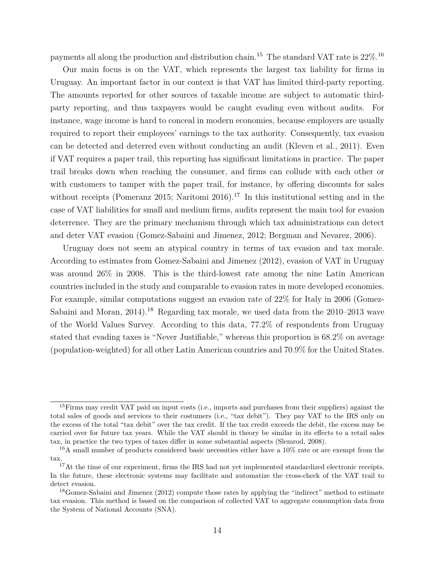payments all along the production and distribution chain.<sup>15</sup> The standard VAT rate is 22%.<sup>16</sup>

Our main focus is on the VAT, which represents the largest tax liability for firms in Uruguay. An important factor in our context is that VAT has limited third-party reporting. The amounts reported for other sources of taxable income are subject to automatic thirdparty reporting, and thus taxpayers would be caught evading even without audits. For instance, wage income is hard to conceal in modern economies, because employers are usually required to report their employees' earnings to the tax authority. Consequently, tax evasion can be detected and deterred even without conducting an audit (Kleven et al., 2011). Even if VAT requires a paper trail, this reporting has significant limitations in practice. The paper trail breaks down when reaching the consumer, and firms can collude with each other or with customers to tamper with the paper trail, for instance, by offering discounts for sales without receipts (Pomeranz 2015; Naritomi 2016).<sup>17</sup> In this institutional setting and in the case of VAT liabilities for small and medium firms, audits represent the main tool for evasion deterrence. They are the primary mechanism through which tax administrations can detect and deter VAT evasion (Gomez-Sabaini and Jimenez, 2012; Bergman and Nevarez, 2006).

Uruguay does not seem an atypical country in terms of tax evasion and tax morale. According to estimates from Gomez-Sabaini and Jimenez (2012), evasion of VAT in Uruguay was around 26% in 2008. This is the third-lowest rate among the nine Latin American countries included in the study and comparable to evasion rates in more developed economies. For example, similar computations suggest an evasion rate of 22% for Italy in 2006 (Gomez-Sabaini and Moran,  $2014$ .<sup>18</sup> Regarding tax morale, we used data from the  $2010-2013$  wave of the World Values Survey. According to this data, 77.2% of respondents from Uruguay stated that evading taxes is "Never Justifiable," whereas this proportion is 68.2% on average (population-weighted) for all other Latin American countries and 70.9% for the United States.

 $15$ Firms may credit VAT paid on input costs (i.e., imports and purchases from their suppliers) against the total sales of goods and services to their costumers (i.e., "tax debit"). They pay VAT to the IRS only on the excess of the total "tax debit" over the tax credit. If the tax credit exceeds the debit, the excess may be carried over for future tax years. While the VAT should in theory be similar in its effects to a retail sales tax, in practice the two types of taxes differ in some substantial aspects (Slemrod, 2008).

 $16A$  small number of products considered basic necessities either have a  $10\%$  rate or are exempt from the tax.

<sup>&</sup>lt;sup>17</sup>At the time of our experiment, firms the IRS had not yet implemented standardized electronic receipts. In the future, these electronic systems may facilitate and automatize the cross-check of the VAT trail to detect evasion.

<sup>&</sup>lt;sup>18</sup>Gomez-Sabaini and Jimenez (2012) compute those rates by applying the "indirect" method to estimate tax evasion. This method is based on the comparison of collected VAT to aggregate consumption data from the System of National Accounts (SNA).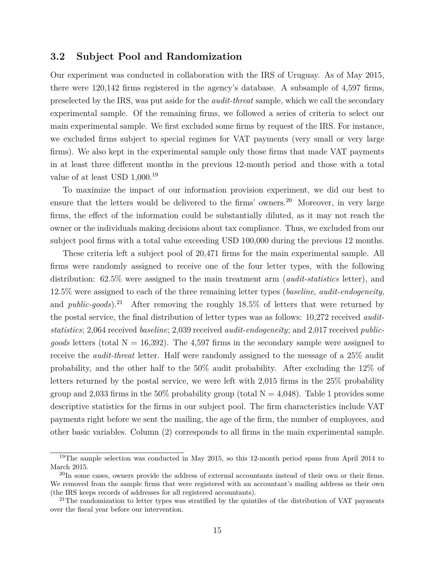#### **3.2 Subject Pool and Randomization**

Our experiment was conducted in collaboration with the IRS of Uruguay. As of May 2015, there were 120,142 firms registered in the agency's database. A subsample of 4,597 firms, preselected by the IRS, was put aside for the *audit-threat* sample, which we call the secondary experimental sample. Of the remaining firms, we followed a series of criteria to select our main experimental sample. We first excluded some firms by request of the IRS. For instance, we excluded firms subject to special regimes for VAT payments (very small or very large firms). We also kept in the experimental sample only those firms that made VAT payments in at least three different months in the previous 12-month period and those with a total value of at least USD  $1,000.^{19}$ 

To maximize the impact of our information provision experiment, we did our best to ensure that the letters would be delivered to the firms' owners.<sup>20</sup> Moreover, in very large firms, the effect of the information could be substantially diluted, as it may not reach the owner or the individuals making decisions about tax compliance. Thus, we excluded from our subject pool firms with a total value exceeding USD 100,000 during the previous 12 months.

These criteria left a subject pool of 20,471 firms for the main experimental sample. All firms were randomly assigned to receive one of the four letter types, with the following distribution: 62.5% were assigned to the main treatment arm (*audit-statistics* letter), and 12.5% were assigned to each of the three remaining letter types (*baseline*, *audit-endogeneity*, and *public-goods*).<sup>21</sup> After removing the roughly  $18.5\%$  of letters that were returned by the postal service, the final distribution of letter types was as follows: 10,272 received *auditstatistics*; 2,064 received *baseline*; 2,039 received *audit-endogeneity*; and 2,017 received *publicgoods* letters (total  $N = 16,392$ ). The 4,597 firms in the secondary sample were assigned to receive the *audit-threat* letter. Half were randomly assigned to the message of a 25% audit probability, and the other half to the 50% audit probability. After excluding the 12% of letters returned by the postal service, we were left with 2,015 firms in the 25% probability group and 2,033 firms in the 50% probability group (total  $N = 4,048$ ). Table 1 provides some descriptive statistics for the firms in our subject pool. The firm characteristics include VAT payments right before we sent the mailing, the age of the firm, the number of employees, and other basic variables. Column (2) corresponds to all firms in the main experimental sample.

<sup>&</sup>lt;sup>19</sup>The sample selection was conducted in May 2015, so this 12-month period spans from April 2014 to March 2015.

<sup>&</sup>lt;sup>20</sup>In some cases, owners provide the address of external accountants instead of their own or their firms. We removed from the sample firms that were registered with an accountant's mailing address as their own (the IRS keeps records of addresses for all registered accountants).

 $21$ The randomization to letter types was stratified by the quintiles of the distribution of VAT payments over the fiscal year before our intervention.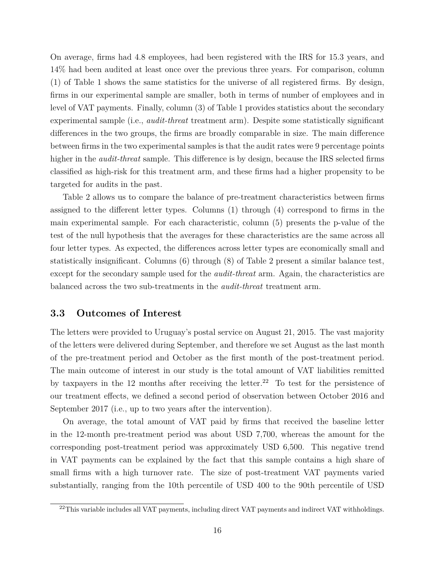On average, firms had 4.8 employees, had been registered with the IRS for 15.3 years, and 14% had been audited at least once over the previous three years. For comparison, column (1) of Table 1 shows the same statistics for the universe of all registered firms. By design, firms in our experimental sample are smaller, both in terms of number of employees and in level of VAT payments. Finally, column (3) of Table 1 provides statistics about the secondary experimental sample (i.e., *audit-threat* treatment arm). Despite some statistically significant differences in the two groups, the firms are broadly comparable in size. The main difference between firms in the two experimental samples is that the audit rates were 9 percentage points higher in the *audit-threat* sample. This difference is by design, because the IRS selected firms classified as high-risk for this treatment arm, and these firms had a higher propensity to be targeted for audits in the past.

Table 2 allows us to compare the balance of pre-treatment characteristics between firms assigned to the different letter types. Columns (1) through (4) correspond to firms in the main experimental sample. For each characteristic, column (5) presents the p-value of the test of the null hypothesis that the averages for these characteristics are the same across all four letter types. As expected, the differences across letter types are economically small and statistically insignificant. Columns (6) through (8) of Table 2 present a similar balance test, except for the secondary sample used for the *audit-threat* arm. Again, the characteristics are balanced across the two sub-treatments in the *audit-threat* treatment arm.

#### **3.3 Outcomes of Interest**

The letters were provided to Uruguay's postal service on August 21, 2015. The vast majority of the letters were delivered during September, and therefore we set August as the last month of the pre-treatment period and October as the first month of the post-treatment period. The main outcome of interest in our study is the total amount of VAT liabilities remitted by taxpayers in the 12 months after receiving the letter.<sup>22</sup> To test for the persistence of our treatment effects, we defined a second period of observation between October 2016 and September 2017 (i.e., up to two years after the intervention).

On average, the total amount of VAT paid by firms that received the baseline letter in the 12-month pre-treatment period was about USD 7,700, whereas the amount for the corresponding post-treatment period was approximately USD 6,500. This negative trend in VAT payments can be explained by the fact that this sample contains a high share of small firms with a high turnover rate. The size of post-treatment VAT payments varied substantially, ranging from the 10th percentile of USD 400 to the 90th percentile of USD

 $^{22}$ This variable includes all VAT payments, including direct VAT payments and indirect VAT withholdings.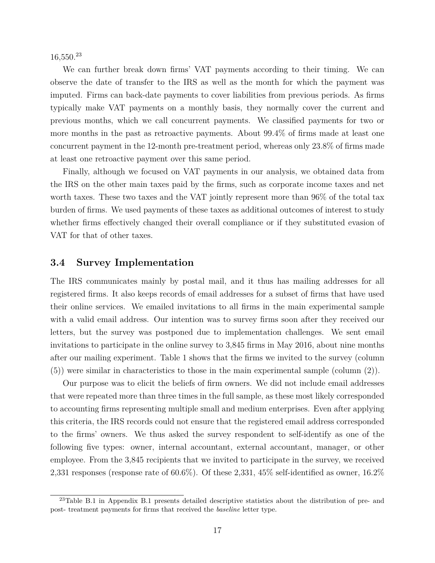$16,550.<sup>23</sup>$ 

We can further break down firms' VAT payments according to their timing. We can observe the date of transfer to the IRS as well as the month for which the payment was imputed. Firms can back-date payments to cover liabilities from previous periods. As firms typically make VAT payments on a monthly basis, they normally cover the current and previous months, which we call concurrent payments. We classified payments for two or more months in the past as retroactive payments. About 99.4% of firms made at least one concurrent payment in the 12-month pre-treatment period, whereas only 23.8% of firms made at least one retroactive payment over this same period.

Finally, although we focused on VAT payments in our analysis, we obtained data from the IRS on the other main taxes paid by the firms, such as corporate income taxes and net worth taxes. These two taxes and the VAT jointly represent more than 96% of the total tax burden of firms. We used payments of these taxes as additional outcomes of interest to study whether firms effectively changed their overall compliance or if they substituted evasion of VAT for that of other taxes.

#### **3.4 Survey Implementation**

The IRS communicates mainly by postal mail, and it thus has mailing addresses for all registered firms. It also keeps records of email addresses for a subset of firms that have used their online services. We emailed invitations to all firms in the main experimental sample with a valid email address. Our intention was to survey firms soon after they received our letters, but the survey was postponed due to implementation challenges. We sent email invitations to participate in the online survey to 3,845 firms in May 2016, about nine months after our mailing experiment. Table 1 shows that the firms we invited to the survey (column (5)) were similar in characteristics to those in the main experimental sample (column (2)).

Our purpose was to elicit the beliefs of firm owners. We did not include email addresses that were repeated more than three times in the full sample, as these most likely corresponded to accounting firms representing multiple small and medium enterprises. Even after applying this criteria, the IRS records could not ensure that the registered email address corresponded to the firms' owners. We thus asked the survey respondent to self-identify as one of the following five types: owner, internal accountant, external accountant, manager, or other employee. From the 3,845 recipients that we invited to participate in the survey, we received 2,331 responses (response rate of 60.6%). Of these 2,331, 45% self-identified as owner, 16.2%

<sup>23</sup>Table B.1 in Appendix B.1 presents detailed descriptive statistics about the distribution of pre- and post- treatment payments for firms that received the *baseline* letter type.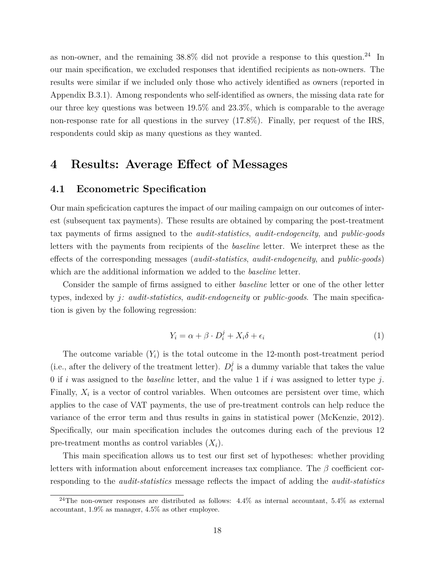as non-owner, and the remaining  $38.8\%$  did not provide a response to this question.<sup>24</sup> In our main specification, we excluded responses that identified recipients as non-owners. The results were similar if we included only those who actively identified as owners (reported in Appendix B.3.1). Among respondents who self-identified as owners, the missing data rate for our three key questions was between 19.5% and 23.3%, which is comparable to the average non-response rate for all questions in the survey (17.8%). Finally, per request of the IRS, respondents could skip as many questions as they wanted.

### **4 Results: Average Effect of Messages**

#### **4.1 Econometric Specification**

Our main speficication captures the impact of our mailing campaign on our outcomes of interest (subsequent tax payments). These results are obtained by comparing the post-treatment tax payments of firms assigned to the *audit-statistics*, *audit-endogeneity*, and *public-goods* letters with the payments from recipients of the *baseline* letter. We interpret these as the effects of the corresponding messages (*audit-statistics*, *audit-endogeneity*, and *public-goods*) which are the additional information we added to the *baseline* letter.

Consider the sample of firms assigned to either *baseline* letter or one of the other letter types, indexed by *j: audit-statistics*, *audit-endogeneity* or *public-goods*. The main specification is given by the following regression:

$$
Y_i = \alpha + \beta \cdot D_i^j + X_i \delta + \epsilon_i \tag{1}
$$

The outcome variable  $(Y_i)$  is the total outcome in the 12-month post-treatment period (i.e., after the delivery of the treatment letter).  $D_i^j$  $\frac{3}{i}$  is a dummy variable that takes the value 0 if *i* was assigned to the *baseline* letter, and the value 1 if *i* was assigned to letter type *j*. Finally,  $X_i$  is a vector of control variables. When outcomes are persistent over time, which applies to the case of VAT payments, the use of pre-treatment controls can help reduce the variance of the error term and thus results in gains in statistical power (McKenzie, 2012). Specifically, our main specification includes the outcomes during each of the previous 12 pre-treatment months as control variables  $(X_i)$ .

This main specification allows us to test our first set of hypotheses: whether providing letters with information about enforcement increases tax compliance. The *β* coefficient corresponding to the *audit-statistics* message reflects the impact of adding the *audit-statistics*

<sup>&</sup>lt;sup>24</sup>The non-owner responses are distributed as follows:  $4.4\%$  as internal accountant,  $5.4\%$  as external accountant, 1.9% as manager, 4.5% as other employee.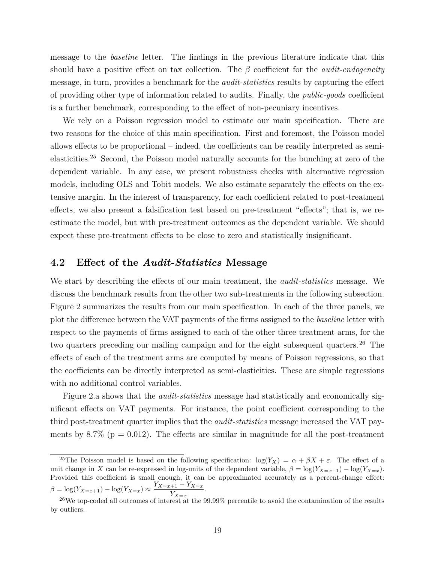message to the *baseline* letter. The findings in the previous literature indicate that this should have a positive effect on tax collection. The *β* coefficient for the *audit-endogeneity* message, in turn, provides a benchmark for the *audit-statistics* results by capturing the effect of providing other type of information related to audits. Finally, the *public-goods* coefficient is a further benchmark, corresponding to the effect of non-pecuniary incentives.

We rely on a Poisson regression model to estimate our main specification. There are two reasons for the choice of this main specification. First and foremost, the Poisson model allows effects to be proportional – indeed, the coefficients can be readily interpreted as semielasticities.<sup>25</sup> Second, the Poisson model naturally accounts for the bunching at zero of the dependent variable. In any case, we present robustness checks with alternative regression models, including OLS and Tobit models. We also estimate separately the effects on the extensive margin. In the interest of transparency, for each coefficient related to post-treatment effects, we also present a falsification test based on pre-treatment "effects"; that is, we reestimate the model, but with pre-treatment outcomes as the dependent variable. We should expect these pre-treatment effects to be close to zero and statistically insignificant.

### **4.2 Effect of the** *Audit-Statistics* **Message**

We start by describing the effects of our main treatment, the *audit-statistics* message. We discuss the benchmark results from the other two sub-treatments in the following subsection. Figure 2 summarizes the results from our main specification. In each of the three panels, we plot the difference between the VAT payments of the firms assigned to the *baseline* letter with respect to the payments of firms assigned to each of the other three treatment arms, for the two quarters preceding our mailing campaign and for the eight subsequent quarters.<sup>26</sup> The effects of each of the treatment arms are computed by means of Poisson regressions, so that the coefficients can be directly interpreted as semi-elasticities. These are simple regressions with no additional control variables.

Figure 2.a shows that the *audit-statistics* message had statistically and economically significant effects on VAT payments. For instance, the point coefficient corresponding to the third post-treatment quarter implies that the *audit-statistics* message increased the VAT payments by 8.7% ( $p = 0.012$ ). The effects are similar in magnitude for all the post-treatment

<sup>&</sup>lt;sup>25</sup>The Poisson model is based on the following specification:  $\log(Y_X) = \alpha + \beta X + \varepsilon$ . The effect of a unit change in *X* can be re-expressed in log-units of the dependent variable,  $\beta = \log(Y_{X=x+1}) - \log(Y_{X=x})$ . Provided this coefficient is small enough, it can be approximated accurately as a percent-change effect:  $\beta = \log(Y_{X=x+1}) - \log(Y_{X=x}) \approx \frac{Y_{X=x+1} - Y_{X=x}}{Y}$ . *Y<sup>X</sup>*=*<sup>x</sup>*

<sup>&</sup>lt;sup>26</sup>We top-coded all outcomes of interest at the 99.99% percentile to avoid the contamination of the results by outliers.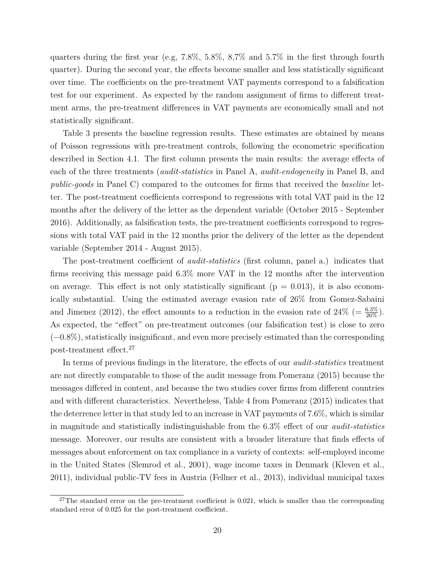quarters during the first year (e.g,  $7.8\%$ ,  $5.8\%$ ,  $8.7\%$  and  $5.7\%$  in the first through fourth quarter). During the second year, the effects become smaller and less statistically significant over time. The coefficients on the pre-treatment VAT payments correspond to a falsification test for our experiment. As expected by the random assignment of firms to different treatment arms, the pre-treatment differences in VAT payments are economically small and not statistically significant.

Table 3 presents the baseline regression results. These estimates are obtained by means of Poisson regressions with pre-treatment controls, following the econometric specification described in Section 4.1. The first column presents the main results: the average effects of each of the three treatments (*audit-statistics* in Panel A, *audit-endogeneity* in Panel B, and *public-goods* in Panel C) compared to the outcomes for firms that received the *baseline* letter. The post-treatment coefficients correspond to regressions with total VAT paid in the 12 months after the delivery of the letter as the dependent variable (October 2015 - September 2016). Additionally, as falsification tests, the pre-treatment coefficients correspond to regressions with total VAT paid in the 12 months prior the delivery of the letter as the dependent variable (September 2014 - August 2015).

The post-treatment coefficient of *audit-statistics* (first column, panel a.) indicates that firms receiving this message paid 6.3% more VAT in the 12 months after the intervention on average. This effect is not only statistically significant ( $p = 0.013$ ), it is also economically substantial. Using the estimated average evasion rate of 26% from Gomez-Sabaini and Jimenez (2012), the effect amounts to a reduction in the evasion rate of  $24\%$  (=  $\frac{6.3\%}{26\%}$ ). As expected, the "effect" on pre-treatment outcomes (our falsification test) is close to zero (−0.8%), statistically insignificant, and even more precisely estimated than the corresponding post-treatment effect.<sup>27</sup>

In terms of previous findings in the literature, the effects of our *audit-statistics* treatment are not directly comparable to those of the audit message from Pomeranz (2015) because the messages differed in content, and because the two studies cover firms from different countries and with different characteristics. Nevertheless, Table 4 from Pomeranz (2015) indicates that the deterrence letter in that study led to an increase in VAT payments of 7.6%, which is similar in magnitude and statistically indistinguishable from the 6.3% effect of our *audit-statistics* message. Moreover, our results are consistent with a broader literature that finds effects of messages about enforcement on tax compliance in a variety of contexts: self-employed income in the United States (Slemrod et al., 2001), wage income taxes in Denmark (Kleven et al., 2011), individual public-TV fees in Austria (Fellner et al., 2013), individual municipal taxes

 $27$ The standard error on the pre-treatment coefficient is 0.021, which is smaller than the corresponding standard error of 0.025 for the post-treatment coefficient.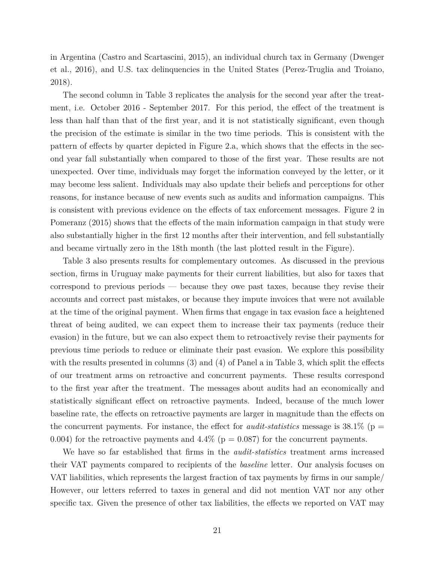in Argentina (Castro and Scartascini, 2015), an individual church tax in Germany (Dwenger et al., 2016), and U.S. tax delinquencies in the United States (Perez-Truglia and Troiano, 2018).

The second column in Table 3 replicates the analysis for the second year after the treatment, i.e. October 2016 - September 2017. For this period, the effect of the treatment is less than half than that of the first year, and it is not statistically significant, even though the precision of the estimate is similar in the two time periods. This is consistent with the pattern of effects by quarter depicted in Figure 2.a, which shows that the effects in the second year fall substantially when compared to those of the first year. These results are not unexpected. Over time, individuals may forget the information conveyed by the letter, or it may become less salient. Individuals may also update their beliefs and perceptions for other reasons, for instance because of new events such as audits and information campaigns. This is consistent with previous evidence on the effects of tax enforcement messages. Figure 2 in Pomeranz (2015) shows that the effects of the main information campaign in that study were also substantially higher in the first 12 months after their intervention, and fell substantially and became virtually zero in the 18th month (the last plotted result in the Figure).

Table 3 also presents results for complementary outcomes. As discussed in the previous section, firms in Uruguay make payments for their current liabilities, but also for taxes that correspond to previous periods — because they owe past taxes, because they revise their accounts and correct past mistakes, or because they impute invoices that were not available at the time of the original payment. When firms that engage in tax evasion face a heightened threat of being audited, we can expect them to increase their tax payments (reduce their evasion) in the future, but we can also expect them to retroactively revise their payments for previous time periods to reduce or eliminate their past evasion. We explore this possibility with the results presented in columns (3) and (4) of Panel a in Table 3, which split the effects of our treatment arms on retroactive and concurrent payments. These results correspond to the first year after the treatment. The messages about audits had an economically and statistically significant effect on retroactive payments. Indeed, because of the much lower baseline rate, the effects on retroactive payments are larger in magnitude than the effects on the concurrent payments. For instance, the effect for *audit-statistics* message is  $38.1\%$  (p = 0.004) for the retroactive payments and 4.4% ( $p = 0.087$ ) for the concurrent payments.

We have so far established that firms in the *audit-statistics* treatment arms increased their VAT payments compared to recipients of the *baseline* letter. Our analysis focuses on VAT liabilities, which represents the largest fraction of tax payments by firms in our sample/ However, our letters referred to taxes in general and did not mention VAT nor any other specific tax. Given the presence of other tax liabilities, the effects we reported on VAT may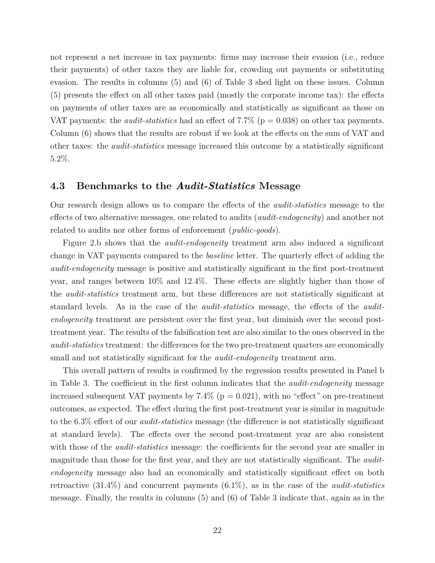not represent a net increase in tax payments: firms may increase their evasion (i.e., reduce their payments) of other taxes they are liable for, crowding out payments or substituting evasion. The results in columns (5) and (6) of Table 3 shed light on these issues. Column (5) presents the effect on all other taxes paid (mostly the corporate income tax): the effects on payments of other taxes are as economically and statistically as significant as those on VAT payments: the *audit-statistics* had an effect of 7.7% ( $p = 0.038$ ) on other tax payments. Column (6) shows that the results are robust if we look at the effects on the sum of VAT and other taxes: the *audit-statistics* message increased this outcome by a statistically significant 5.2%.

#### **4.3 Benchmarks to the** *Audit-Statistics* **Message**

Our research design allows us to compare the effects of the *audit-statistics* message to the effects of two alternative messages, one related to audits (*audit-endogeneity*) and another not related to audits nor other forms of enforcement (*public-goods*).

Figure 2.b shows that the *audit-endogeneity* treatment arm also induced a significant change in VAT payments compared to the *baseline* letter. The quarterly effect of adding the *audit-endogeneity* message is positive and statistically significant in the first post-treatment year, and ranges between 10% and 12.4%. These effects are slightly higher than those of the *audit-statistics* treatment arm, but these differences are not statistically significant at standard levels. As in the case of the *audit-statistics* message, the effects of the *auditendogeneity* treatment are persistent over the first year, but diminish over the second posttreatment year. The results of the falsification test are also similar to the ones observed in the *audit-statistics* treatment: the differences for the two pre-treatment quarters are economically small and not statistically significant for the *audit-endogeneity* treatment arm.

This overall pattern of results is confirmed by the regression results presented in Panel b in Table 3. The coefficient in the first column indicates that the *audit-endogeneity* message increased subsequent VAT payments by  $7.4\%$  ( $p = 0.021$ ), with no "effect" on pre-treatment outcomes, as expected. The effect during the first post-treatment year is similar in magnitude to the 6.3% effect of our *audit-statistics* message (the difference is not statistically significant at standard levels). The effects over the second post-treatment year are also consistent with those of the *audit-statistics* message: the coefficients for the second year are smaller in magnitude than those for the first year, and they are not statistically significant. The *auditendogeneity* message also had an economically and statistically significant effect on both retroactive (31.4%) and concurrent payments (6.1%), as in the case of the *audit-statistics* message. Finally, the results in columns (5) and (6) of Table 3 indicate that, again as in the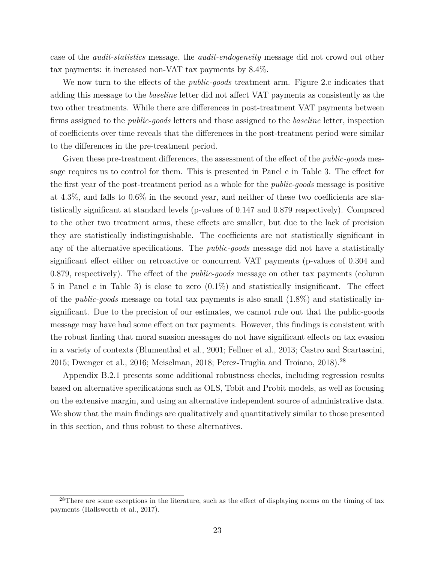case of the *audit-statistics* message, the *audit-endogeneity* message did not crowd out other tax payments: it increased non-VAT tax payments by 8.4%.

We now turn to the effects of the *public-goods* treatment arm. Figure 2.c indicates that adding this message to the *baseline* letter did not affect VAT payments as consistently as the two other treatments. While there are differences in post-treatment VAT payments between firms assigned to the *public-goods* letters and those assigned to the *baseline* letter, inspection of coefficients over time reveals that the differences in the post-treatment period were similar to the differences in the pre-treatment period.

Given these pre-treatment differences, the assessment of the effect of the *public-goods* message requires us to control for them. This is presented in Panel c in Table 3. The effect for the first year of the post-treatment period as a whole for the *public-goods* message is positive at 4.3%, and falls to 0.6% in the second year, and neither of these two coefficients are statistically significant at standard levels (p-values of 0.147 and 0.879 respectively). Compared to the other two treatment arms, these effects are smaller, but due to the lack of precision they are statistically indistinguishable. The coefficients are not statistically significant in any of the alternative specifications. The *public-goods* message did not have a statistically significant effect either on retroactive or concurrent VAT payments (p-values of 0.304 and 0.879, respectively). The effect of the *public-goods* message on other tax payments (column 5 in Panel c in Table 3) is close to zero (0.1%) and statistically insignificant. The effect of the *public-goods* message on total tax payments is also small (1.8%) and statistically insignificant. Due to the precision of our estimates, we cannot rule out that the public-goods message may have had some effect on tax payments. However, this findings is consistent with the robust finding that moral suasion messages do not have significant effects on tax evasion in a variety of contexts (Blumenthal et al., 2001; Fellner et al., 2013; Castro and Scartascini, 2015; Dwenger et al., 2016; Meiselman, 2018; Perez-Truglia and Troiano, 2018).<sup>28</sup>

Appendix B.2.1 presents some additional robustness checks, including regression results based on alternative specifications such as OLS, Tobit and Probit models, as well as focusing on the extensive margin, and using an alternative independent source of administrative data. We show that the main findings are qualitatively and quantitatively similar to those presented in this section, and thus robust to these alternatives.

<sup>&</sup>lt;sup>28</sup>There are some exceptions in the literature, such as the effect of displaying norms on the timing of tax payments (Hallsworth et al., 2017).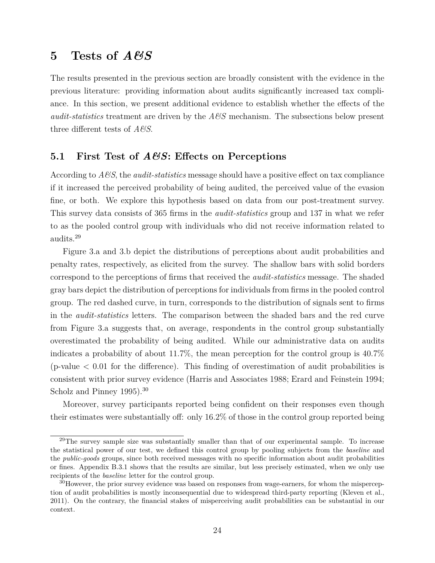## **5 Tests of** *A&S*

The results presented in the previous section are broadly consistent with the evidence in the previous literature: providing information about audits significantly increased tax compliance. In this section, we present additional evidence to establish whether the effects of the *audit-statistics* treatment are driven by the *A&S* mechanism. The subsections below present three different tests of *A&S*.

### **5.1 First Test of** *A&S***: Effects on Perceptions**

According to *A&S*, the *audit-statistics* message should have a positive effect on tax compliance if it increased the perceived probability of being audited, the perceived value of the evasion fine, or both. We explore this hypothesis based on data from our post-treatment survey. This survey data consists of 365 firms in the *audit-statistics* group and 137 in what we refer to as the pooled control group with individuals who did not receive information related to audits.<sup>29</sup>

Figure 3.a and 3.b depict the distributions of perceptions about audit probabilities and penalty rates, respectively, as elicited from the survey. The shallow bars with solid borders correspond to the perceptions of firms that received the *audit-statistics* message. The shaded gray bars depict the distribution of perceptions for individuals from firms in the pooled control group. The red dashed curve, in turn, corresponds to the distribution of signals sent to firms in the *audit-statistics* letters. The comparison between the shaded bars and the red curve from Figure 3.a suggests that, on average, respondents in the control group substantially overestimated the probability of being audited. While our administrative data on audits indicates a probability of about 11.7%, the mean perception for the control group is 40.7% (p-value  $\lt 0.01$  for the difference). This finding of overestimation of audit probabilities is consistent with prior survey evidence (Harris and Associates 1988; Erard and Feinstein 1994; Scholz and Pinney 1995).<sup>30</sup>

Moreover, survey participants reported being confident on their responses even though their estimates were substantially off: only 16.2% of those in the control group reported being

 $29$ The survey sample size was substantially smaller than that of our experimental sample. To increase the statistical power of our test, we defined this control group by pooling subjects from the *baseline* and the *public-goods* groups, since both received messages with no specific information about audit probabilities or fines. Appendix B.3.1 shows that the results are similar, but less precisely estimated, when we only use recipients of the *baseline* letter for the control group.

<sup>&</sup>lt;sup>30</sup>However, the prior survey evidence was based on responses from wage-earners, for whom the misperception of audit probabilities is mostly inconsequential due to widespread third-party reporting (Kleven et al., 2011). On the contrary, the financial stakes of misperceiving audit probabilities can be substantial in our context.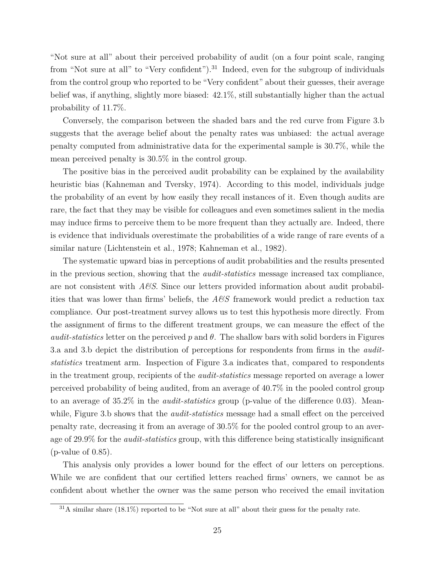"Not sure at all" about their perceived probability of audit (on a four point scale, ranging from "Not sure at all" to "Very confident").<sup>31</sup> Indeed, even for the subgroup of individuals from the control group who reported to be "Very confident" about their guesses, their average belief was, if anything, slightly more biased: 42.1%, still substantially higher than the actual probability of 11.7%.

Conversely, the comparison between the shaded bars and the red curve from Figure 3.b suggests that the average belief about the penalty rates was unbiased: the actual average penalty computed from administrative data for the experimental sample is 30.7%, while the mean perceived penalty is 30.5% in the control group.

The positive bias in the perceived audit probability can be explained by the availability heuristic bias (Kahneman and Tversky, 1974). According to this model, individuals judge the probability of an event by how easily they recall instances of it. Even though audits are rare, the fact that they may be visible for colleagues and even sometimes salient in the media may induce firms to perceive them to be more frequent than they actually are. Indeed, there is evidence that individuals overestimate the probabilities of a wide range of rare events of a similar nature (Lichtenstein et al., 1978; Kahneman et al., 1982).

The systematic upward bias in perceptions of audit probabilities and the results presented in the previous section, showing that the *audit-statistics* message increased tax compliance, are not consistent with *A&S*. Since our letters provided information about audit probabilities that was lower than firms' beliefs, the *A&S* framework would predict a reduction tax compliance. Our post-treatment survey allows us to test this hypothesis more directly. From the assignment of firms to the different treatment groups, we can measure the effect of the *audit-statistics* letter on the perceived  $p$  and  $\theta$ . The shallow bars with solid borders in Figures 3.a and 3.b depict the distribution of perceptions for respondents from firms in the *auditstatistics* treatment arm. Inspection of Figure 3.a indicates that, compared to respondents in the treatment group, recipients of the *audit-statistics* message reported on average a lower perceived probability of being audited, from an average of 40.7% in the pooled control group to an average of 35.2% in the *audit-statistics* group (p-value of the difference 0.03). Meanwhile, Figure 3.b shows that the *audit-statistics* message had a small effect on the perceived penalty rate, decreasing it from an average of 30.5% for the pooled control group to an average of 29.9% for the *audit-statistics* group, with this difference being statistically insignificant (p-value of 0.85).

This analysis only provides a lower bound for the effect of our letters on perceptions. While we are confident that our certified letters reached firms' owners, we cannot be as confident about whether the owner was the same person who received the email invitation

 $31$ A similar share (18.1%) reported to be "Not sure at all" about their guess for the penalty rate.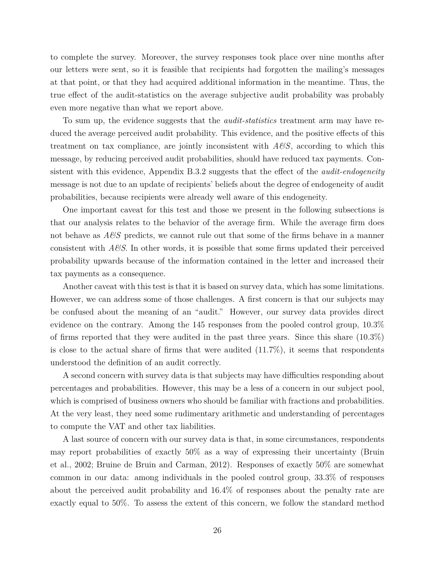to complete the survey. Moreover, the survey responses took place over nine months after our letters were sent, so it is feasible that recipients had forgotten the mailing's messages at that point, or that they had acquired additional information in the meantime. Thus, the true effect of the audit-statistics on the average subjective audit probability was probably even more negative than what we report above.

To sum up, the evidence suggests that the *audit-statistics* treatment arm may have reduced the average perceived audit probability. This evidence, and the positive effects of this treatment on tax compliance, are jointly inconsistent with *A&S*, according to which this message, by reducing perceived audit probabilities, should have reduced tax payments. Consistent with this evidence, Appendix B.3.2 suggests that the effect of the *audit-endogeneity* message is not due to an update of recipients' beliefs about the degree of endogeneity of audit probabilities, because recipients were already well aware of this endogeneity.

One important caveat for this test and those we present in the following subsections is that our analysis relates to the behavior of the average firm. While the average firm does not behave as *A&S* predicts, we cannot rule out that some of the firms behave in a manner consistent with *A&S*. In other words, it is possible that some firms updated their perceived probability upwards because of the information contained in the letter and increased their tax payments as a consequence.

Another caveat with this test is that it is based on survey data, which has some limitations. However, we can address some of those challenges. A first concern is that our subjects may be confused about the meaning of an "audit." However, our survey data provides direct evidence on the contrary. Among the 145 responses from the pooled control group, 10.3% of firms reported that they were audited in the past three years. Since this share (10.3%) is close to the actual share of firms that were audited (11.7%), it seems that respondents understood the definition of an audit correctly.

A second concern with survey data is that subjects may have difficulties responding about percentages and probabilities. However, this may be a less of a concern in our subject pool, which is comprised of business owners who should be familiar with fractions and probabilities. At the very least, they need some rudimentary arithmetic and understanding of percentages to compute the VAT and other tax liabilities.

A last source of concern with our survey data is that, in some circumstances, respondents may report probabilities of exactly 50% as a way of expressing their uncertainty (Bruin et al., 2002; Bruine de Bruin and Carman, 2012). Responses of exactly 50% are somewhat common in our data: among individuals in the pooled control group, 33.3% of responses about the perceived audit probability and 16.4% of responses about the penalty rate are exactly equal to 50%. To assess the extent of this concern, we follow the standard method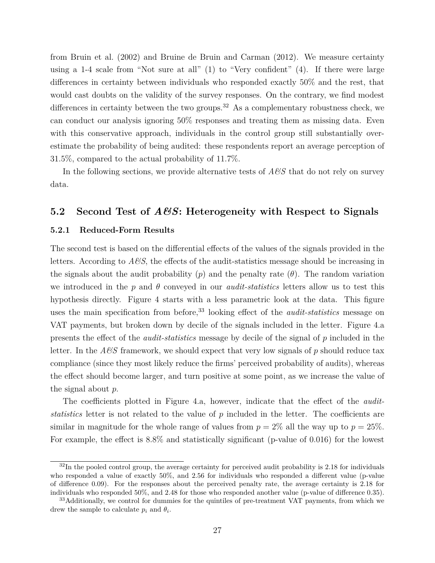from Bruin et al. (2002) and Bruine de Bruin and Carman (2012). We measure certainty using a 1-4 scale from "Not sure at all" (1) to "Very confident" (4). If there were large differences in certainty between individuals who responded exactly 50% and the rest, that would cast doubts on the validity of the survey responses. On the contrary, we find modest differences in certainty between the two groups.<sup>32</sup> As a complementary robustness check, we can conduct our analysis ignoring 50% responses and treating them as missing data. Even with this conservative approach, individuals in the control group still substantially overestimate the probability of being audited: these respondents report an average perception of 31.5%, compared to the actual probability of 11.7%.

In the following sections, we provide alternative tests of *A&S* that do not rely on survey data.

#### **5.2 Second Test of** *A&S***: Heterogeneity with Respect to Signals**

#### **5.2.1 Reduced-Form Results**

The second test is based on the differential effects of the values of the signals provided in the letters. According to  $A\mathscr{B}S$ , the effects of the audit-statistics message should be increasing in the signals about the audit probability  $(p)$  and the penalty rate  $(\theta)$ . The random variation we introduced in the  $p$  and  $\theta$  conveyed in our *audit-statistics* letters allow us to test this hypothesis directly. Figure 4 starts with a less parametric look at the data. This figure uses the main specification from before,<sup>33</sup> looking effect of the *audit-statistics* message on VAT payments, but broken down by decile of the signals included in the letter. Figure 4.a presents the effect of the *audit-statistics* message by decile of the signal of *p* included in the letter. In the *A&S* framework, we should expect that very low signals of *p* should reduce tax compliance (since they most likely reduce the firms' perceived probability of audits), whereas the effect should become larger, and turn positive at some point, as we increase the value of the signal about *p*.

The coefficients plotted in Figure 4.a, however, indicate that the effect of the *auditstatistics* letter is not related to the value of *p* included in the letter. The coefficients are similar in magnitude for the whole range of values from  $p = 2\%$  all the way up to  $p = 25\%$ . For example, the effect is 8.8% and statistically significant (p-value of 0.016) for the lowest

 $32$ In the pooled control group, the average certainty for perceived audit probability is 2.18 for individuals who responded a value of exactly 50%, and 2.56 for individuals who responded a different value (p-value of difference 0.09). For the responses about the perceived penalty rate, the average certainty is 2.18 for individuals who responded 50%, and 2.48 for those who responded another value (p-value of difference 0.35).

<sup>&</sup>lt;sup>33</sup>Additionally, we control for dummies for the quintiles of pre-treatment VAT payments, from which we drew the sample to calculate  $p_i$  and  $\theta_i$ .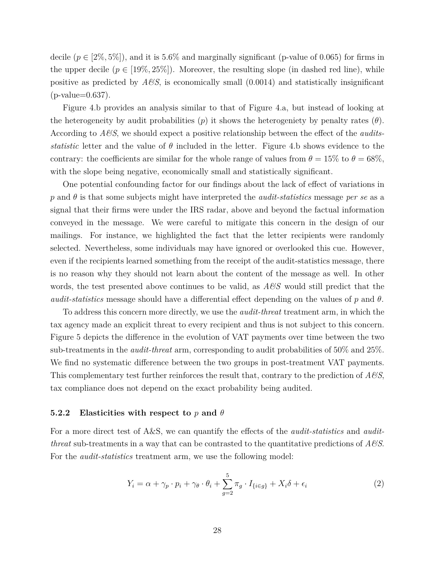decile  $(p \in [2\%, 5\%])$ , and it is 5.6% and marginally significant (p-value of 0.065) for firms in the upper decile  $(p \in [19\%, 25\%])$ . Moreover, the resulting slope (in dashed red line), while positive as predicted by  $A\mathcal{C}S$ , is economically small  $(0.0014)$  and statistically insignificant (p-value=0.637).

Figure 4.b provides an analysis similar to that of Figure 4.a, but instead of looking at the heterogeneity by audit probabilities  $(p)$  it shows the heterogeniety by penalty rates  $(\theta)$ . According to *A&S*, we should expect a positive relationship between the effect of the *auditsstatistic* letter and the value of  $\theta$  included in the letter. Figure 4.b shows evidence to the contrary: the coefficients are similar for the whole range of values from  $\theta = 15\%$  to  $\theta = 68\%$ , with the slope being negative, economically small and statistically significant.

One potential confounding factor for our findings about the lack of effect of variations in *p* and *θ* is that some subjects might have interpreted the *audit-statistics* message *per se* as a signal that their firms were under the IRS radar, above and beyond the factual information conveyed in the message. We were careful to mitigate this concern in the design of our mailings. For instance, we highlighted the fact that the letter recipients were randomly selected. Nevertheless, some individuals may have ignored or overlooked this cue. However, even if the recipients learned something from the receipt of the audit-statistics message, there is no reason why they should not learn about the content of the message as well. In other words, the test presented above continues to be valid, as *A&S* would still predict that the *audit-statistics* message should have a differential effect depending on the values of *p* and *θ*.

To address this concern more directly, we use the *audit-threat* treatment arm, in which the tax agency made an explicit threat to every recipient and thus is not subject to this concern. Figure 5 depicts the difference in the evolution of VAT payments over time between the two sub-treatments in the *audit-threat* arm, corresponding to audit probabilities of 50% and 25%. We find no systematic difference between the two groups in post-treatment VAT payments. This complementary test further reinforces the result that, contrary to the prediction of *A&S*, tax compliance does not depend on the exact probability being audited.

#### **5.2.2 Elasticities with respect to** *p* **and** *θ*

For a more direct test of A&S, we can quantify the effects of the *audit-statistics* and *auditthreat* sub-treatments in a way that can be contrasted to the quantitative predictions of *A&S*. For the *audit-statistics* treatment arm, we use the following model:

$$
Y_i = \alpha + \gamma_p \cdot p_i + \gamma_\theta \cdot \theta_i + \sum_{g=2}^5 \pi_g \cdot I_{\{i \in g\}} + X_i \delta + \epsilon_i \tag{2}
$$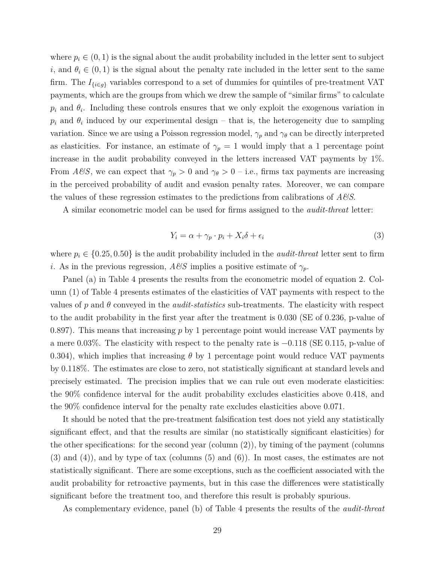where  $p_i \in (0, 1)$  is the signal about the audit probability included in the letter sent to subject *i*, and  $\theta_i \in (0,1)$  is the signal about the penalty rate included in the letter sent to the same firm. The  $I_{\{i\in g\}}$  variables correspond to a set of dummies for quintiles of pre-treatment VAT payments, which are the groups from which we drew the sample of "similar firms" to calculate  $p_i$  and  $\theta_i$ . Including these controls ensures that we only exploit the exogenous variation in  $p_i$  and  $\theta_i$  induced by our experimental design – that is, the heterogeneity due to sampling variation. Since we are using a Poisson regression model,  $\gamma_p$  and  $\gamma_\theta$  can be directly interpreted as elasticities. For instance, an estimate of  $\gamma_p = 1$  would imply that a 1 percentage point increase in the audit probability conveyed in the letters increased VAT payments by 1%. From *A* $\mathscr{C}S$ , we can expect that  $\gamma_p > 0$  and  $\gamma_\theta > 0$  – i.e., firms tax payments are increasing in the perceived probability of audit and evasion penalty rates. Moreover, we can compare the values of these regression estimates to the predictions from calibrations of *A&S*.

A similar econometric model can be used for firms assigned to the *audit-threat* letter:

$$
Y_i = \alpha + \gamma_p \cdot p_i + X_i \delta + \epsilon_i \tag{3}
$$

where  $p_i \in \{0.25, 0.50\}$  is the audit probability included in the *audit-threat* letter sent to firm *i*. As in the previous regression,  $A\mathscr{B}S$  implies a positive estimate of  $\gamma_p$ .

Panel (a) in Table 4 presents the results from the econometric model of equation 2. Column (1) of Table 4 presents estimates of the elasticities of VAT payments with respect to the values of *p* and *θ* conveyed in the *audit-statistics* sub-treatments. The elasticity with respect to the audit probability in the first year after the treatment is 0.030 (SE of 0.236, p-value of 0.897). This means that increasing *p* by 1 percentage point would increase VAT payments by a mere 0.03%. The elasticity with respect to the penalty rate is −0.118 (SE 0.115, p-value of 0.304), which implies that increasing  $\theta$  by 1 percentage point would reduce VAT payments by 0.118%. The estimates are close to zero, not statistically significant at standard levels and precisely estimated. The precision implies that we can rule out even moderate elasticities: the 90% confidence interval for the audit probability excludes elasticities above 0.418, and the 90% confidence interval for the penalty rate excludes elasticities above 0.071.

It should be noted that the pre-treatment falsification test does not yield any statistically significant effect, and that the results are similar (no statistically significant elasticities) for the other specifications: for the second year (column (2)), by timing of the payment (columns (3) and (4)), and by type of tax (columns (5) and (6)). In most cases, the estimates are not statistically significant. There are some exceptions, such as the coefficient associated with the audit probability for retroactive payments, but in this case the differences were statistically significant before the treatment too, and therefore this result is probably spurious.

As complementary evidence, panel (b) of Table 4 presents the results of the *audit-threat*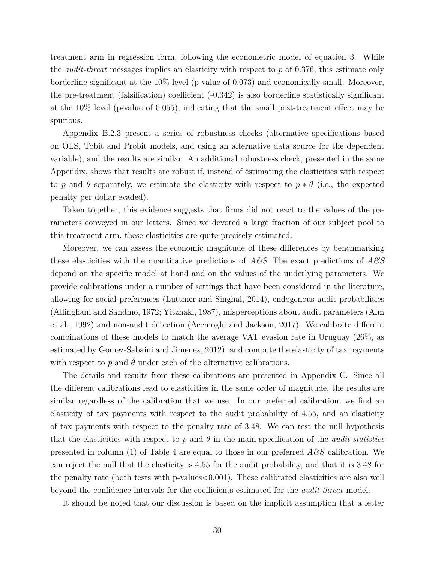treatment arm in regression form, following the econometric model of equation 3. While the *audit-threat* messages implies an elasticity with respect to *p* of 0.376, this estimate only borderline significant at the 10% level (p-value of 0.073) and economically small. Moreover, the pre-treatment (falsification) coefficient (-0.342) is also borderline statistically significant at the 10% level (p-value of 0.055), indicating that the small post-treatment effect may be spurious.

Appendix B.2.3 present a series of robustness checks (alternative specifications based on OLS, Tobit and Probit models, and using an alternative data source for the dependent variable), and the results are similar. An additional robustness check, presented in the same Appendix, shows that results are robust if, instead of estimating the elasticities with respect to *p* and  $\theta$  separately, we estimate the elasticity with respect to  $p * \theta$  (i.e., the expected penalty per dollar evaded).

Taken together, this evidence suggests that firms did not react to the values of the parameters conveyed in our letters. Since we devoted a large fraction of our subject pool to this treatment arm, these elasticities are quite precisely estimated.

Moreover, we can assess the economic magnitude of these differences by benchmarking these elasticities with the quantitative predictions of *A&S*. The exact predictions of *A&S* depend on the specific model at hand and on the values of the underlying parameters. We provide calibrations under a number of settings that have been considered in the literature, allowing for social preferences (Luttmer and Singhal, 2014), endogenous audit probabilities (Allingham and Sandmo, 1972; Yitzhaki, 1987), misperceptions about audit parameters (Alm et al., 1992) and non-audit detection (Acemoglu and Jackson, 2017). We calibrate different combinations of these models to match the average VAT evasion rate in Uruguay (26%, as estimated by Gomez-Sabaini and Jimenez, 2012), and compute the elasticity of tax payments with respect to  $p$  and  $\theta$  under each of the alternative calibrations.

The details and results from these calibrations are presented in Appendix C. Since all the different calibrations lead to elasticities in the same order of magnitude, the results are similar regardless of the calibration that we use. In our preferred calibration, we find an elasticity of tax payments with respect to the audit probability of 4.55, and an elasticity of tax payments with respect to the penalty rate of 3.48. We can test the null hypothesis that the elasticities with respect to  $p$  and  $\theta$  in the main specification of the *audit-statistics* presented in column (1) of Table 4 are equal to those in our preferred *A&S* calibration. We can reject the null that the elasticity is 4.55 for the audit probability, and that it is 3.48 for the penalty rate (both tests with  $p$ -values $<0.001$ ). These calibrated elasticities are also well beyond the confidence intervals for the coefficients estimated for the *audit-threat* model.

It should be noted that our discussion is based on the implicit assumption that a letter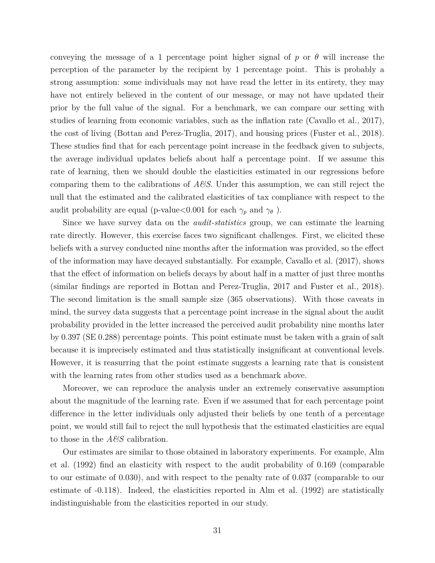conveying the message of a 1 percentage point higher signal of  $p$  or  $\theta$  will increase the perception of the parameter by the recipient by 1 percentage point. This is probably a strong assumption: some individuals may not have read the letter in its entirety, they may have not entirely believed in the content of our message, or may not have updated their prior by the full value of the signal. For a benchmark, we can compare our setting with studies of learning from economic variables, such as the inflation rate (Cavallo et al., 2017), the cost of living (Bottan and Perez-Truglia, 2017), and housing prices (Fuster et al., 2018). These studies find that for each percentage point increase in the feedback given to subjects, the average individual updates beliefs about half a percentage point. If we assume this rate of learning, then we should double the elasticities estimated in our regressions before comparing them to the calibrations of *A&S*. Under this assumption, we can still reject the null that the estimated and the calibrated elasticities of tax compliance with respect to the audit probability are equal (p-value  $< 0.001$  for each  $\gamma_p$  and  $\gamma_\theta$ ).

Since we have survey data on the *audit-statistics* group, we can estimate the learning rate directly. However, this exercise faces two significant challenges. First, we elicited these beliefs with a survey conducted nine months after the information was provided, so the effect of the information may have decayed substantially. For example, Cavallo et al. (2017), shows that the effect of information on beliefs decays by about half in a matter of just three months (similar findings are reported in Bottan and Perez-Truglia, 2017 and Fuster et al., 2018). The second limitation is the small sample size (365 observations). With those caveats in mind, the survey data suggests that a percentage point increase in the signal about the audit probability provided in the letter increased the perceived audit probability nine months later by 0.397 (SE 0.288) percentage points. This point estimate must be taken with a grain of salt because it is imprecisely estimated and thus statistically insignificant at conventional levels. However, it is reasurring that the point estimate suggests a learning rate that is consistent with the learning rates from other studies used as a benchmark above.

Moreover, we can reproduce the analysis under an extremely conservative assumption about the magnitude of the learning rate. Even if we assumed that for each percentage point difference in the letter individuals only adjusted their beliefs by one tenth of a percentage point, we would still fail to reject the null hypothesis that the estimated elasticities are equal to those in the *A&S* calibration.

Our estimates are similar to those obtained in laboratory experiments. For example, Alm et al. (1992) find an elasticity with respect to the audit probability of 0.169 (comparable to our estimate of 0.030), and with respect to the penalty rate of 0.037 (comparable to our estimate of -0.118). Indeed, the elasticities reported in Alm et al. (1992) are statistically indistinguishable from the elasticities reported in our study.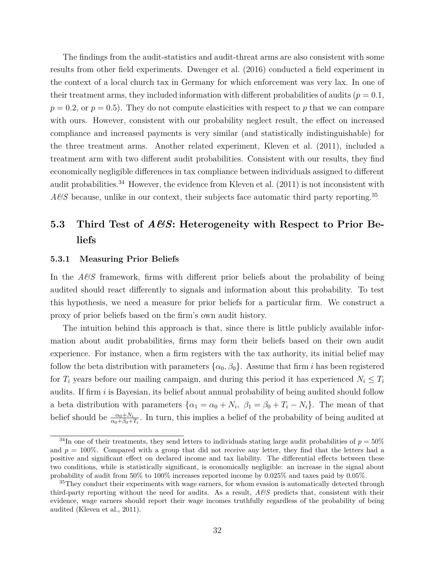The findings from the audit-statistics and audit-threat arms are also consistent with some results from other field experiments. Dwenger et al. (2016) conducted a field experiment in the context of a local church tax in Germany for which enforcement was very lax. In one of their treatment arms, they included information with different probabilities of audits ( $p = 0.1$ ,  $p = 0.2$ , or  $p = 0.5$ ). They do not compute elasticities with respect to *p* that we can compare with ours. However, consistent with our probability neglect result, the effect on increased compliance and increased payments is very similar (and statistically indistinguishable) for the three treatment arms. Another related experiment, Kleven et al. (2011), included a treatment arm with two different audit probabilities. Consistent with our results, they find economically negligible differences in tax compliance between individuals assigned to different audit probabilities.<sup>34</sup> However, the evidence from Kleven et al. (2011) is not inconsistent with *A&S* because, unlike in our context, their subjects face automatic third party reporting.<sup>35</sup>

# **5.3 Third Test of** *A&S***: Heterogeneity with Respect to Prior Beliefs**

#### **5.3.1 Measuring Prior Beliefs**

In the *A&S* framework, firms with different prior beliefs about the probability of being audited should react differently to signals and information about this probability. To test this hypothesis, we need a measure for prior beliefs for a particular firm. We construct a proxy of prior beliefs based on the firm's own audit history.

The intuition behind this approach is that, since there is little publicly available information about audit probabilities, firms may form their beliefs based on their own audit experience. For instance, when a firm registers with the tax authority, its initial belief may follow the beta distribution with parameters  $\{\alpha_0, \beta_0\}$ . Assume that firm *i* has been registered for  $T_i$  years before our mailing campaign, and during this period it has experienced  $N_i \leq T_i$ audits. If firm *i* is Bayesian, its belief about annual probability of being audited should follow a beta distribution with parameters  $\{\alpha_1 = \alpha_0 + N_i, \ \beta_1 = \beta_0 + T_i - N_i\}$ . The mean of that belief should be  $\frac{\alpha_0+N_i}{\alpha_0+\beta_0+T_i}$ . In turn, this implies a belief of the probability of being audited at

 $34$ In one of their treatments, they send letters to individuals stating large audit probabilities of  $p = 50\%$ and  $p = 100\%$ . Compared with a group that did not receive any letter, they find that the letters had a positive and significant effect on declared income and tax liability. The differential effects between these two conditions, while is statistically significant, is economically negligible: an increase in the signal about probability of audit from 50% to 100% increases reported income by 0.025% and taxes paid by 0.05%.

 $35$ They conduct their experiments with wage earners, for whom evasion is automatically detected through third-party reporting without the need for audits. As a result, *A&S* predicts that, consistent with their evidence, wage earners should report their wage incomes truthfully regardless of the probability of being audited (Kleven et al., 2011).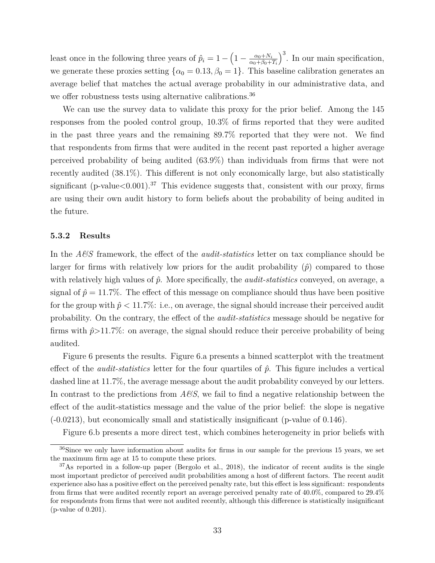least once in the following three years of  $\hat{p}_i = 1 - \left(1 - \frac{\alpha_0 + N_i}{\alpha_0 + \beta_0 + \beta_0}\right)$  $\alpha_0+\beta_0+T_i$  $\big)^3$ . In our main specification, we generate these proxies setting  $\{\alpha_0 = 0.13, \beta_0 = 1\}$ . This baseline calibration generates an average belief that matches the actual average probability in our administrative data, and we offer robustness tests using alternative calibrations.<sup>36</sup>

We can use the survey data to validate this proxy for the prior belief. Among the 145 responses from the pooled control group, 10.3% of firms reported that they were audited in the past three years and the remaining 89.7% reported that they were not. We find that respondents from firms that were audited in the recent past reported a higher average perceived probability of being audited (63.9%) than individuals from firms that were not recently audited (38.1%). This different is not only economically large, but also statistically significant (p-value $< 0.001$ ).<sup>37</sup> This evidence suggests that, consistent with our proxy, firms are using their own audit history to form beliefs about the probability of being audited in the future.

#### **5.3.2 Results**

In the *A&S* framework, the effect of the *audit-statistics* letter on tax compliance should be larger for firms with relatively low priors for the audit probability  $(\hat{p})$  compared to those with relatively high values of *p*ˆ. More specifically, the *audit-statistics* conveyed, on average, a signal of  $\hat{p} = 11.7\%$ . The effect of this message on compliance should thus have been positive for the group with  $\hat{p}$  < 11.7%: i.e., on average, the signal should increase their perceived audit probability. On the contrary, the effect of the *audit-statistics* message should be negative for firms with  $\hat{p}$ >11.7%: on average, the signal should reduce their perceive probability of being audited.

Figure 6 presents the results. Figure 6.a presents a binned scatterplot with the treatment effect of the *audit-statistics* letter for the four quartiles of  $\hat{p}$ . This figure includes a vertical dashed line at 11.7%, the average message about the audit probability conveyed by our letters. In contrast to the predictions from  $A\mathcal{B}S$ , we fail to find a negative relationship between the effect of the audit-statistics message and the value of the prior belief: the slope is negative (-0.0213), but economically small and statistically insignificant (p-value of 0.146).

Figure 6.b presents a more direct test, which combines heterogeneity in prior beliefs with

<sup>&</sup>lt;sup>36</sup>Since we only have information about audits for firms in our sample for the previous 15 years, we set the maximum firm age at 15 to compute these priors.

 $37\text{As reported in a follow-up paper (Bergolo et al., 2018), the indicator of recent audits is the single$ most important predictor of perceived audit probabilities among a host of different factors. The recent audit experience also has a positive effect on the perceived penalty rate, but this effect is less significant: respondents from firms that were audited recently report an average perceived penalty rate of 40.0%, compared to 29.4% for respondents from firms that were not audited recently, although this difference is statistically insignificant (p-value of 0.201).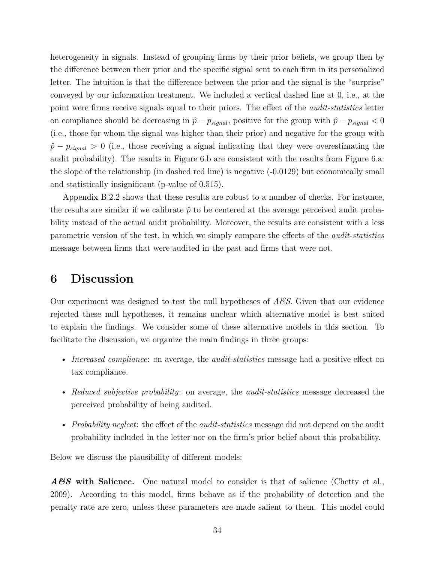heterogeneity in signals. Instead of grouping firms by their prior beliefs, we group then by the difference between their prior and the specific signal sent to each firm in its personalized letter. The intuition is that the difference between the prior and the signal is the "surprise" conveyed by our information treatment. We included a vertical dashed line at 0, i.e., at the point were firms receive signals equal to their priors. The effect of the *audit-statistics* letter on compliance should be decreasing in  $\hat{p} - p_{signal}$ , positive for the group with  $\hat{p} - p_{signal} < 0$ (i.e., those for whom the signal was higher than their prior) and negative for the group with  $\hat{p}$  −  $p_{signal}$  > 0 (i.e., those receiving a signal indicating that they were overestimating the audit probability). The results in Figure 6.b are consistent with the results from Figure 6.a: the slope of the relationship (in dashed red line) is negative (-0.0129) but economically small and statistically insignificant (p-value of 0.515).

Appendix B.2.2 shows that these results are robust to a number of checks. For instance, the results are similar if we calibrate  $\hat{p}$  to be centered at the average perceived audit probability instead of the actual audit probability. Moreover, the results are consistent with a less parametric version of the test, in which we simply compare the effects of the *audit-statistics* message between firms that were audited in the past and firms that were not.

### **6 Discussion**

Our experiment was designed to test the null hypotheses of *A&S*. Given that our evidence rejected these null hypotheses, it remains unclear which alternative model is best suited to explain the findings. We consider some of these alternative models in this section. To facilitate the discussion, we organize the main findings in three groups:

- *Increased compliance*: on average, the *audit-statistics* message had a positive effect on tax compliance.
- *Reduced subjective probability*: on average, the *audit-statistics* message decreased the perceived probability of being audited.
- *Probability neglect*: the effect of the *audit-statistics* message did not depend on the audit probability included in the letter nor on the firm's prior belief about this probability.

Below we discuss the plausibility of different models:

*A&S* **with Salience.** One natural model to consider is that of salience (Chetty et al., 2009). According to this model, firms behave as if the probability of detection and the penalty rate are zero, unless these parameters are made salient to them. This model could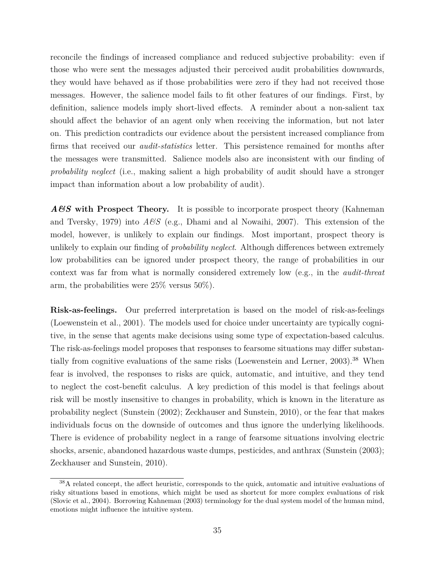reconcile the findings of increased compliance and reduced subjective probability: even if those who were sent the messages adjusted their perceived audit probabilities downwards, they would have behaved as if those probabilities were zero if they had not received those messages. However, the salience model fails to fit other features of our findings. First, by definition, salience models imply short-lived effects. A reminder about a non-salient tax should affect the behavior of an agent only when receiving the information, but not later on. This prediction contradicts our evidence about the persistent increased compliance from firms that received our *audit-statistics* letter. This persistence remained for months after the messages were transmitted. Salience models also are inconsistent with our finding of *probability neglect* (i.e., making salient a high probability of audit should have a stronger impact than information about a low probability of audit).

*A&S* **with Prospect Theory.** It is possible to incorporate prospect theory (Kahneman and Tversky, 1979) into  $A\mathscr{B}S$  (e.g., Dhami and al Nowaihi, 2007). This extension of the model, however, is unlikely to explain our findings. Most important, prospect theory is unlikely to explain our finding of *probability neglect*. Although differences between extremely low probabilities can be ignored under prospect theory, the range of probabilities in our context was far from what is normally considered extremely low (e.g., in the *audit-threat* arm, the probabilities were 25% versus 50%).

**Risk-as-feelings.** Our preferred interpretation is based on the model of risk-as-feelings (Loewenstein et al., 2001). The models used for choice under uncertainty are typically cognitive, in the sense that agents make decisions using some type of expectation-based calculus. The risk-as-feelings model proposes that responses to fearsome situations may differ substantially from cognitive evaluations of the same risks (Loewenstein and Lerner, 2003).<sup>38</sup> When fear is involved, the responses to risks are quick, automatic, and intuitive, and they tend to neglect the cost-benefit calculus. A key prediction of this model is that feelings about risk will be mostly insensitive to changes in probability, which is known in the literature as probability neglect (Sunstein (2002); Zeckhauser and Sunstein, 2010), or the fear that makes individuals focus on the downside of outcomes and thus ignore the underlying likelihoods. There is evidence of probability neglect in a range of fearsome situations involving electric shocks, arsenic, abandoned hazardous waste dumps, pesticides, and anthrax (Sunstein (2003); Zeckhauser and Sunstein, 2010).

<sup>38</sup>A related concept, the affect heuristic, corresponds to the quick, automatic and intuitive evaluations of risky situations based in emotions, which might be used as shortcut for more complex evaluations of risk (Slovic et al., 2004). Borrowing Kahneman (2003) terminology for the dual system model of the human mind, emotions might influence the intuitive system.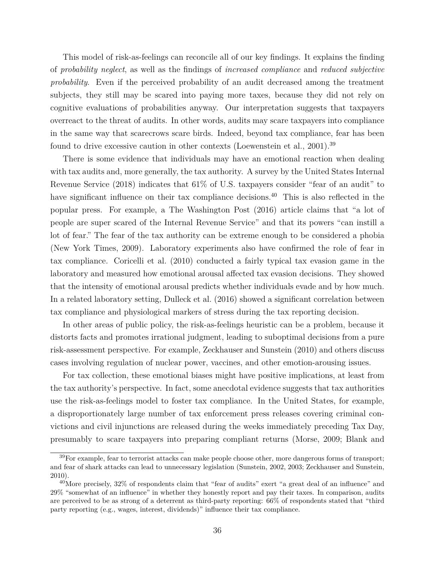This model of risk-as-feelings can reconcile all of our key findings. It explains the finding of *probability neglect*, as well as the findings of *increased compliance* and *reduced subjective probability*. Even if the perceived probability of an audit decreased among the treatment subjects, they still may be scared into paying more taxes, because they did not rely on cognitive evaluations of probabilities anyway. Our interpretation suggests that taxpayers overreact to the threat of audits. In other words, audits may scare taxpayers into compliance in the same way that scarecrows scare birds. Indeed, beyond tax compliance, fear has been found to drive excessive caution in other contexts (Loewenstein et al., 2001).<sup>39</sup>

There is some evidence that individuals may have an emotional reaction when dealing with tax audits and, more generally, the tax authority. A survey by the United States Internal Revenue Service (2018) indicates that 61% of U.S. taxpayers consider "fear of an audit" to have significant influence on their tax compliance decisions.<sup>40</sup> This is also reflected in the popular press. For example, a The Washington Post (2016) article claims that "a lot of people are super scared of the Internal Revenue Service" and that its powers "can instill a lot of fear." The fear of the tax authority can be extreme enough to be considered a phobia (New York Times, 2009). Laboratory experiments also have confirmed the role of fear in tax compliance. Coricelli et al. (2010) conducted a fairly typical tax evasion game in the laboratory and measured how emotional arousal affected tax evasion decisions. They showed that the intensity of emotional arousal predicts whether individuals evade and by how much. In a related laboratory setting, Dulleck et al. (2016) showed a significant correlation between tax compliance and physiological markers of stress during the tax reporting decision.

In other areas of public policy, the risk-as-feelings heuristic can be a problem, because it distorts facts and promotes irrational judgment, leading to suboptimal decisions from a pure risk-assessment perspective. For example, Zeckhauser and Sunstein (2010) and others discuss cases involving regulation of nuclear power, vaccines, and other emotion-arousing issues.

For tax collection, these emotional biases might have positive implications, at least from the tax authority's perspective. In fact, some anecdotal evidence suggests that tax authorities use the risk-as-feelings model to foster tax compliance. In the United States, for example, a disproportionately large number of tax enforcement press releases covering criminal convictions and civil injunctions are released during the weeks immediately preceding Tax Day, presumably to scare taxpayers into preparing compliant returns (Morse, 2009; Blank and

 $39\text{For example, fear to terrorist attacks can make people choose other, more dangerous forms of transport: }$ and fear of shark attacks can lead to unnecessary legislation (Sunstein, 2002, 2003; Zeckhauser and Sunstein, 2010).

<sup>&</sup>lt;sup>40</sup>More precisely, 32% of respondents claim that "fear of audits" exert "a great deal of an influence" and 29% "somewhat of an influence" in whether they honestly report and pay their taxes. In comparison, audits are perceived to be as strong of a deterrent as third-party reporting: 66% of respondents stated that "third party reporting (e.g., wages, interest, dividends)" influence their tax compliance.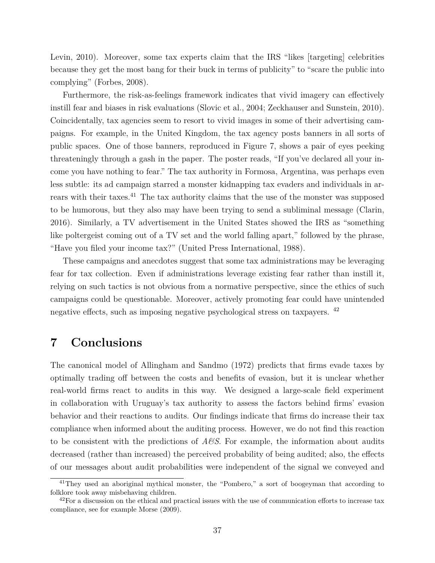Levin, 2010). Moreover, some tax experts claim that the IRS "likes [targeting] celebrities because they get the most bang for their buck in terms of publicity" to "scare the public into complying" (Forbes, 2008).

Furthermore, the risk-as-feelings framework indicates that vivid imagery can effectively instill fear and biases in risk evaluations (Slovic et al., 2004; Zeckhauser and Sunstein, 2010). Coincidentally, tax agencies seem to resort to vivid images in some of their advertising campaigns. For example, in the United Kingdom, the tax agency posts banners in all sorts of public spaces. One of those banners, reproduced in Figure 7, shows a pair of eyes peeking threateningly through a gash in the paper. The poster reads, "If you've declared all your income you have nothing to fear." The tax authority in Formosa, Argentina, was perhaps even less subtle: its ad campaign starred a monster kidnapping tax evaders and individuals in arrears with their taxes.<sup>41</sup> The tax authority claims that the use of the monster was supposed to be humorous, but they also may have been trying to send a subliminal message (Clarin, 2016). Similarly, a TV advertisement in the United States showed the IRS as "something like poltergeist coming out of a TV set and the world falling apart," followed by the phrase, "Have you filed your income tax?" (United Press International, 1988).

These campaigns and anecdotes suggest that some tax administrations may be leveraging fear for tax collection. Even if administrations leverage existing fear rather than instill it, relying on such tactics is not obvious from a normative perspective, since the ethics of such campaigns could be questionable. Moreover, actively promoting fear could have unintended negative effects, such as imposing negative psychological stress on taxpayers. <sup>42</sup>

# **7 Conclusions**

The canonical model of Allingham and Sandmo (1972) predicts that firms evade taxes by optimally trading off between the costs and benefits of evasion, but it is unclear whether real-world firms react to audits in this way. We designed a large-scale field experiment in collaboration with Uruguay's tax authority to assess the factors behind firms' evasion behavior and their reactions to audits. Our findings indicate that firms do increase their tax compliance when informed about the auditing process. However, we do not find this reaction to be consistent with the predictions of *A&S*. For example, the information about audits decreased (rather than increased) the perceived probability of being audited; also, the effects of our messages about audit probabilities were independent of the signal we conveyed and

<sup>&</sup>lt;sup>41</sup>They used an aboriginal mythical monster, the "Pombero," a sort of boogeyman that according to folklore took away misbehaving children.

 $^{42}$ For a discussion on the ethical and practical issues with the use of communication efforts to increase tax compliance, see for example Morse (2009).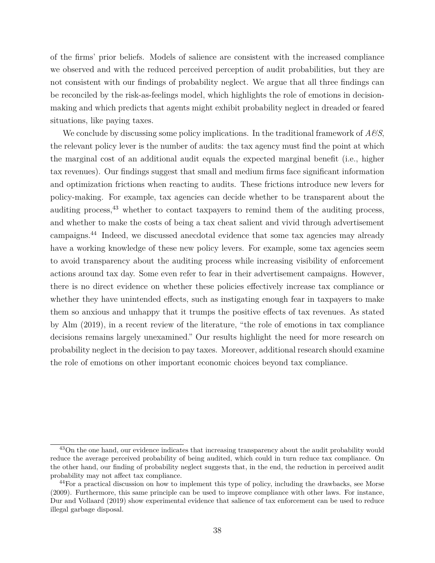of the firms' prior beliefs. Models of salience are consistent with the increased compliance we observed and with the reduced perceived perception of audit probabilities, but they are not consistent with our findings of probability neglect. We argue that all three findings can be reconciled by the risk-as-feelings model, which highlights the role of emotions in decisionmaking and which predicts that agents might exhibit probability neglect in dreaded or feared situations, like paying taxes.

We conclude by discussing some policy implications. In the traditional framework of *A&S*, the relevant policy lever is the number of audits: the tax agency must find the point at which the marginal cost of an additional audit equals the expected marginal benefit (i.e., higher tax revenues). Our findings suggest that small and medium firms face significant information and optimization frictions when reacting to audits. These frictions introduce new levers for policy-making. For example, tax agencies can decide whether to be transparent about the auditing process,  $43$  whether to contact taxpayers to remind them of the auditing process, and whether to make the costs of being a tax cheat salient and vivid through advertisement campaigns.<sup>44</sup> Indeed, we discussed anecdotal evidence that some tax agencies may already have a working knowledge of these new policy levers. For example, some tax agencies seem to avoid transparency about the auditing process while increasing visibility of enforcement actions around tax day. Some even refer to fear in their advertisement campaigns. However, there is no direct evidence on whether these policies effectively increase tax compliance or whether they have unintended effects, such as instigating enough fear in taxpayers to make them so anxious and unhappy that it trumps the positive effects of tax revenues. As stated by Alm (2019), in a recent review of the literature, "the role of emotions in tax compliance decisions remains largely unexamined." Our results highlight the need for more research on probability neglect in the decision to pay taxes. Moreover, additional research should examine the role of emotions on other important economic choices beyond tax compliance.

<sup>&</sup>lt;sup>43</sup>On the one hand, our evidence indicates that increasing transparency about the audit probability would reduce the average perceived probability of being audited, which could in turn reduce tax compliance. On the other hand, our finding of probability neglect suggests that, in the end, the reduction in perceived audit probability may not affect tax compliance.

<sup>&</sup>lt;sup>44</sup>For a practical discussion on how to implement this type of policy, including the drawbacks, see Morse (2009). Furthermore, this same principle can be used to improve compliance with other laws. For instance, Dur and Vollaard (2019) show experimental evidence that salience of tax enforcement can be used to reduce illegal garbage disposal.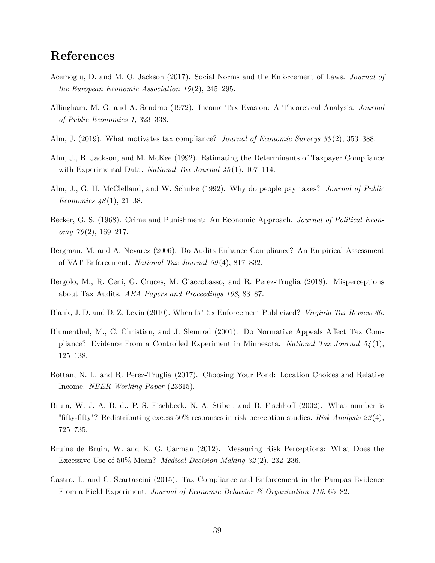# **References**

- Acemoglu, D. and M. O. Jackson (2017). Social Norms and the Enforcement of Laws. *Journal of the European Economic Association 15* (2), 245–295.
- Allingham, M. G. and A. Sandmo (1972). Income Tax Evasion: A Theoretical Analysis. *Journal of Public Economics 1*, 323–338.
- Alm, J. (2019). What motivates tax compliance? *Journal of Economic Surveys 33* (2), 353–388.
- Alm, J., B. Jackson, and M. McKee (1992). Estimating the Determinants of Taxpayer Compliance with Experimental Data. *National Tax Journal 45* (1), 107–114.
- Alm, J., G. H. McClelland, and W. Schulze (1992). Why do people pay taxes? *Journal of Public Economics 48* (1), 21–38.
- Becker, G. S. (1968). Crime and Punishment: An Economic Approach. *Journal of Political Economy 76* (2), 169–217.
- Bergman, M. and A. Nevarez (2006). Do Audits Enhance Compliance? An Empirical Assessment of VAT Enforcement. *National Tax Journal 59* (4), 817–832.
- Bergolo, M., R. Ceni, G. Cruces, M. Giaccobasso, and R. Perez-Truglia (2018). Misperceptions about Tax Audits. *AEA Papers and Proceedings 108*, 83–87.
- Blank, J. D. and D. Z. Levin (2010). When Is Tax Enforcement Publicized? *Virginia Tax Review 30*.
- Blumenthal, M., C. Christian, and J. Slemrod (2001). Do Normative Appeals Affect Tax Compliance? Evidence From a Controlled Experiment in Minnesota. *National Tax Journal 54* (1), 125–138.
- Bottan, N. L. and R. Perez-Truglia (2017). Choosing Your Pond: Location Choices and Relative Income. *NBER Working Paper* (23615).
- Bruin, W. J. A. B. d., P. S. Fischbeck, N. A. Stiber, and B. Fischhoff (2002). What number is "fifty-fifty"? Redistributing excess 50% responses in risk perception studies. *Risk Analysis 22* (4), 725–735.
- Bruine de Bruin, W. and K. G. Carman (2012). Measuring Risk Perceptions: What Does the Excessive Use of 50% Mean? *Medical Decision Making 32* (2), 232–236.
- Castro, L. and C. Scartascini (2015). Tax Compliance and Enforcement in the Pampas Evidence From a Field Experiment. *Journal of Economic Behavior & Organization 116*, 65–82.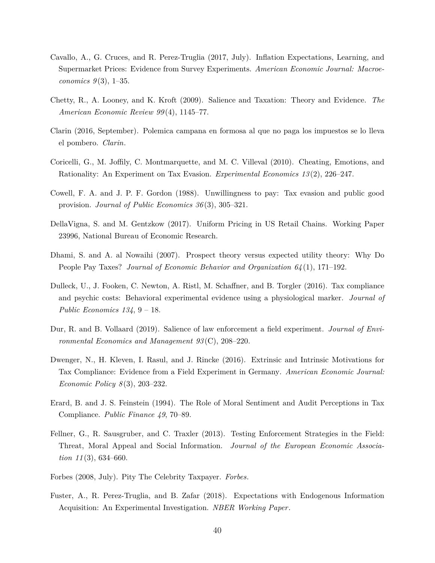- Cavallo, A., G. Cruces, and R. Perez-Truglia (2017, July). Inflation Expectations, Learning, and Supermarket Prices: Evidence from Survey Experiments. *American Economic Journal: Macroeconomics 9* (3), 1–35.
- Chetty, R., A. Looney, and K. Kroft (2009). Salience and Taxation: Theory and Evidence. *The American Economic Review 99* (4), 1145–77.
- Clarin (2016, September). Polemica campana en formosa al que no paga los impuestos se lo lleva el pombero. *Clarin*.
- Coricelli, G., M. Joffily, C. Montmarquette, and M. C. Villeval (2010). Cheating, Emotions, and Rationality: An Experiment on Tax Evasion. *Experimental Economics 13* (2), 226–247.
- Cowell, F. A. and J. P. F. Gordon (1988). Unwillingness to pay: Tax evasion and public good provision. *Journal of Public Economics 36* (3), 305–321.
- DellaVigna, S. and M. Gentzkow (2017). Uniform Pricing in US Retail Chains. Working Paper 23996, National Bureau of Economic Research.
- Dhami, S. and A. al Nowaihi (2007). Prospect theory versus expected utility theory: Why Do People Pay Taxes? *Journal of Economic Behavior and Organization 64* (1), 171–192.
- Dulleck, U., J. Fooken, C. Newton, A. Ristl, M. Schaffner, and B. Torgler (2016). Tax compliance and psychic costs: Behavioral experimental evidence using a physiological marker. *Journal of Public Economics 134*, 9 – 18.
- Dur, R. and B. Vollaard (2019). Salience of law enforcement a field experiment. *Journal of Environmental Economics and Management 93* (C), 208–220.
- Dwenger, N., H. Kleven, I. Rasul, and J. Rincke (2016). Extrinsic and Intrinsic Motivations for Tax Compliance: Evidence from a Field Experiment in Germany. *American Economic Journal: Economic Policy 8* (3), 203–232.
- Erard, B. and J. S. Feinstein (1994). The Role of Moral Sentiment and Audit Perceptions in Tax Compliance. *Public Finance 49*, 70–89.
- Fellner, G., R. Sausgruber, and C. Traxler (2013). Testing Enforcement Strategies in the Field: Threat, Moral Appeal and Social Information. *Journal of the European Economic Association 11* (3), 634–660.
- Forbes (2008, July). Pity The Celebrity Taxpayer. *Forbes*.
- Fuster, A., R. Perez-Truglia, and B. Zafar (2018). Expectations with Endogenous Information Acquisition: An Experimental Investigation. *NBER Working Paper*.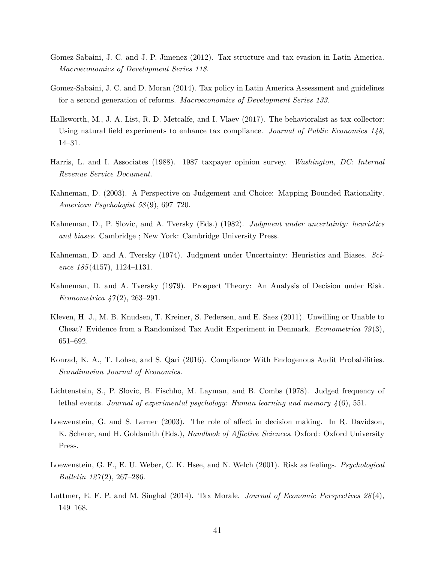- Gomez-Sabaini, J. C. and J. P. Jimenez (2012). Tax structure and tax evasion in Latin America. *Macroeconomics of Development Series 118*.
- Gomez-Sabaini, J. C. and D. Moran (2014). Tax policy in Latin America Assessment and guidelines for a second generation of reforms. *Macroeconomics of Development Series 133*.
- Hallsworth, M., J. A. List, R. D. Metcalfe, and I. Vlaev (2017). The behavioralist as tax collector: Using natural field experiments to enhance tax compliance. *Journal of Public Economics 148*, 14–31.
- Harris, L. and I. Associates (1988). 1987 taxpayer opinion survey. *Washington, DC: Internal Revenue Service Document*.
- Kahneman, D. (2003). A Perspective on Judgement and Choice: Mapping Bounded Rationality. *American Psychologist 58* (9), 697–720.
- Kahneman, D., P. Slovic, and A. Tversky (Eds.) (1982). *Judgment under uncertainty: heuristics and biases*. Cambridge ; New York: Cambridge University Press.
- Kahneman, D. and A. Tversky (1974). Judgment under Uncertainty: Heuristics and Biases. *Science 185* (4157), 1124–1131.
- Kahneman, D. and A. Tversky (1979). Prospect Theory: An Analysis of Decision under Risk. *Econometrica 47* (2), 263–291.
- Kleven, H. J., M. B. Knudsen, T. Kreiner, S. Pedersen, and E. Saez (2011). Unwilling or Unable to Cheat? Evidence from a Randomized Tax Audit Experiment in Denmark. *Econometrica 79* (3), 651–692.
- Konrad, K. A., T. Lohse, and S. Qari (2016). Compliance With Endogenous Audit Probabilities. *Scandinavian Journal of Economics*.
- Lichtenstein, S., P. Slovic, B. Fischho, M. Layman, and B. Combs (1978). Judged frequency of lethal events. *Journal of experimental psychology: Human learning and memory 4* (6), 551.
- Loewenstein, G. and S. Lerner (2003). The role of affect in decision making. In R. Davidson, K. Scherer, and H. Goldsmith (Eds.), *Handbook of Affictive Sciences*. Oxford: Oxford University Press.
- Loewenstein, G. F., E. U. Weber, C. K. Hsee, and N. Welch (2001). Risk as feelings. *Psychological Bulletin 127* (2), 267–286.
- Luttmer, E. F. P. and M. Singhal (2014). Tax Morale. *Journal of Economic Perspectives 28* (4), 149–168.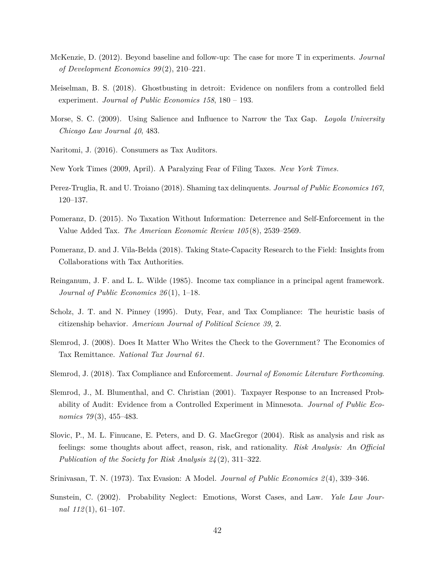- McKenzie, D. (2012). Beyond baseline and follow-up: The case for more T in experiments. *Journal of Development Economics 99* (2), 210–221.
- Meiselman, B. S. (2018). Ghostbusting in detroit: Evidence on nonfilers from a controlled field experiment. *Journal of Public Economics 158*, 180 – 193.
- Morse, S. C. (2009). Using Salience and Influence to Narrow the Tax Gap. *Loyola University Chicago Law Journal 40*, 483.
- Naritomi, J. (2016). Consumers as Tax Auditors.
- New York Times (2009, April). A Paralyzing Fear of Filing Taxes. *New York Times*.
- Perez-Truglia, R. and U. Troiano (2018). Shaming tax delinquents. *Journal of Public Economics 167*, 120–137.
- Pomeranz, D. (2015). No Taxation Without Information: Deterrence and Self-Enforcement in the Value Added Tax. *The American Economic Review 105* (8), 2539–2569.
- Pomeranz, D. and J. Vila-Belda (2018). Taking State-Capacity Research to the Field: Insights from Collaborations with Tax Authorities.
- Reinganum, J. F. and L. L. Wilde (1985). Income tax compliance in a principal agent framework. *Journal of Public Economics 26* (1), 1–18.
- Scholz, J. T. and N. Pinney (1995). Duty, Fear, and Tax Compliance: The heuristic basis of citizenship behavior. *American Journal of Political Science 39*, 2.
- Slemrod, J. (2008). Does It Matter Who Writes the Check to the Government? The Economics of Tax Remittance. *National Tax Journal 61*.
- Slemrod, J. (2018). Tax Compliance and Enforcement. *Journal of Eonomic Literature Forthcoming*.
- Slemrod, J., M. Blumenthal, and C. Christian (2001). Taxpayer Response to an Increased Probability of Audit: Evidence from a Controlled Experiment in Minnesota. *Journal of Public Economics 79* (3), 455–483.
- Slovic, P., M. L. Finucane, E. Peters, and D. G. MacGregor (2004). Risk as analysis and risk as feelings: some thoughts about affect, reason, risk, and rationality. *Risk Analysis: An Official Publication of the Society for Risk Analysis 24* (2), 311–322.
- Srinivasan, T. N. (1973). Tax Evasion: A Model. *Journal of Public Economics 2* (4), 339–346.
- Sunstein, C. (2002). Probability Neglect: Emotions, Worst Cases, and Law. *Yale Law Journal 112* (1), 61–107.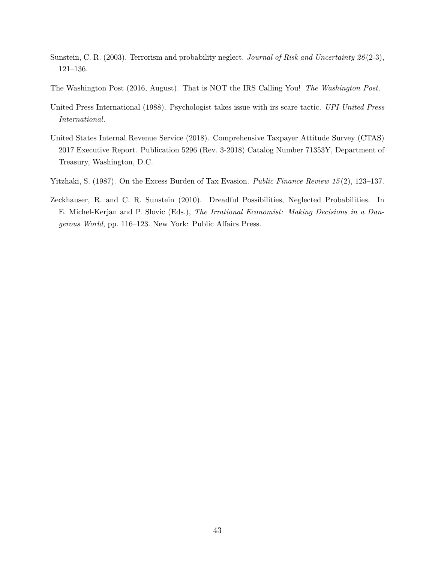- Sunstein, C. R. (2003). Terrorism and probability neglect. *Journal of Risk and Uncertainty 26* (2-3), 121–136.
- The Washington Post (2016, August). That is NOT the IRS Calling You! *The Washington Post*.
- United Press International (1988). Psychologist takes issue with irs scare tactic. *UPI-United Press International*.
- United States Internal Revenue Service (2018). Comprehensive Taxpayer Attitude Survey (CTAS) 2017 Executive Report. Publication 5296 (Rev. 3-2018) Catalog Number 71353Y, Department of Treasury, Washington, D.C.
- Yitzhaki, S. (1987). On the Excess Burden of Tax Evasion. *Public Finance Review 15* (2), 123–137.
- Zeckhauser, R. and C. R. Sunstein (2010). Dreadful Possibilities, Neglected Probabilities. In E. Michel-Kerjan and P. Slovic (Eds.), *The Irrational Economist: Making Decisions in a Dangerous World*, pp. 116–123. New York: Public Affairs Press.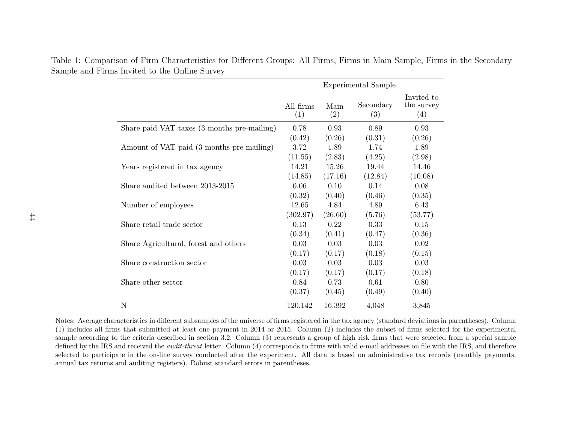|                                             |                  | <b>Experimental Sample</b> |                  |                                 |
|---------------------------------------------|------------------|----------------------------|------------------|---------------------------------|
|                                             | All firms<br>(1) | Main<br>(2)                | Secondary<br>(3) | Invited to<br>the survey<br>(4) |
| Share paid VAT taxes (3 months pre-mailing) | 0.78             | 0.93                       | 0.89             | 0.93                            |
|                                             | (0.42)           | (0.26)                     | (0.31)           | (0.26)                          |
| Amount of VAT paid (3 months pre-mailing)   | 3.72             | 1.89                       | 1.74             | 1.89                            |
|                                             | (11.55)          | (2.83)                     | (4.25)           | (2.98)                          |
| Years registered in tax agency              | 14.21            | 15.26                      | 19.44            | 14.46                           |
|                                             | (14.85)          | (17.16)                    | (12.84)          | (10.08)                         |
| Share audited between 2013-2015             | 0.06             | 0.10                       | 0.14             | 0.08                            |
|                                             | (0.32)           | (0.40)                     | (0.46)           | (0.35)                          |
| Number of employees                         | 12.65            | 4.84                       | 4.89             | 6.43                            |
|                                             | (302.97)         | (26.60)                    | (5.76)           | (53.77)                         |
| Share retail trade sector                   | 0.13             | 0.22                       | 0.33             | 0.15                            |
|                                             | (0.34)           | (0.41)                     | (0.47)           | (0.36)                          |
| Share Agricultural, forest and others       | 0.03             | 0.03                       | 0.03             | 0.02                            |
|                                             | (0.17)           | (0.17)                     | (0.18)           | (0.15)                          |
| Share construction sector                   | 0.03             | 0.03                       | 0.03             | 0.03                            |
|                                             | (0.17)           | (0.17)                     | (0.17)           | (0.18)                          |
| Share other sector                          | 0.84             | 0.73                       | 0.61             | 0.80                            |
|                                             | (0.37)           | (0.45)                     | (0.49)           | (0.40)                          |
| N                                           | 120,142          | 16,392                     | 4,048            | 3,845                           |

Table 1: Comparison of Firm Characteristics for Different Groups: All Firms, Firms in Main Sample, Firms in the SecondarySample and Firms Invited to the Online Survey

Notes: Average characteristics in different subsamples of the universe of firms registered in the tax agency (standard deviations in parentheses). Column (1) includes all firms that submitted at least one payment in <sup>2014</sup> or 2015. Column (2) includes the subset of firms selected for the experimental sample according to the criteria described in section 3.2. Column (3) represents <sup>a</sup> group of high risk firms that were selected from <sup>a</sup> special sample defined by the IRS and received the *audit-threat* letter. Column (4) corresponds to firms with valid e-mail addresses on file with the IRS, and therefore selected to participate in the on-line survey conducted after the experiment. All data is based on administrative tax records (monthly payments,annual tax returns and auditing registers). Robust standard errors in parentheses.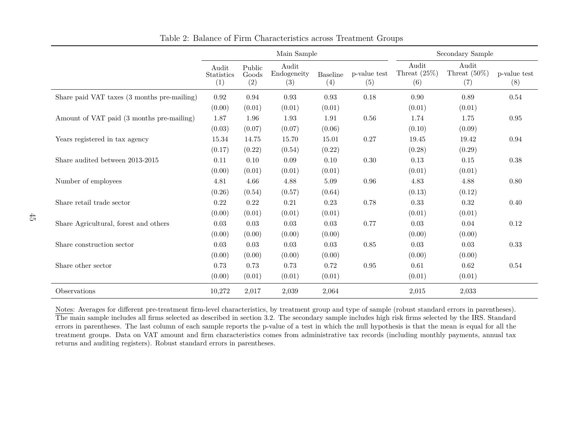|                                             | Main Sample                       |                        |                             |                        | Secondary Sample    |                                 |                                 |                     |
|---------------------------------------------|-----------------------------------|------------------------|-----------------------------|------------------------|---------------------|---------------------------------|---------------------------------|---------------------|
|                                             | Audit<br><b>Statistics</b><br>(1) | Public<br>Goods<br>(2) | Audit<br>Endogeneity<br>(3) | <b>Baseline</b><br>(4) | p-value test<br>(5) | Audit<br>Threat $(25\%)$<br>(6) | Audit<br>Threat $(50\%)$<br>(7) | p-value test<br>(8) |
| Share paid VAT taxes (3 months pre-mailing) | $\rm 0.92$                        | 0.94                   | 0.93                        | 0.93                   | 0.18                | 0.90                            | 0.89                            | 0.54                |
|                                             | (0.00)                            | (0.01)                 | (0.01)                      | (0.01)                 |                     | (0.01)                          | (0.01)                          |                     |
| Amount of VAT paid (3 months pre-mailing)   | 1.87                              | 1.96                   | 1.93                        | 1.91                   | 0.56                | 1.74                            | 1.75                            | 0.95                |
|                                             | (0.03)                            | (0.07)                 | (0.07)                      | (0.06)                 |                     | (0.10)                          | (0.09)                          |                     |
| Years registered in tax agency              | 15.34                             | 14.75                  | 15.70                       | 15.01                  | 0.27                | 19.45                           | 19.42                           | 0.94                |
|                                             | (0.17)                            | (0.22)                 | (0.54)                      | (0.22)                 |                     | (0.28)                          | (0.29)                          |                     |
| Share audited between 2013-2015             | 0.11                              | 0.10                   | 0.09                        | 0.10                   | 0.30                | 0.13                            | 0.15                            | 0.38                |
|                                             | (0.00)                            | (0.01)                 | (0.01)                      | (0.01)                 |                     | (0.01)                          | (0.01)                          |                     |
| Number of employees                         | 4.81                              | 4.66                   | 4.88                        | 5.09                   | 0.96                | 4.83                            | 4.88                            | 0.80                |
|                                             | (0.26)                            | (0.54)                 | (0.57)                      | (0.64)                 |                     | (0.13)                          | (0.12)                          |                     |
| Share retail trade sector                   | 0.22                              | 0.22                   | 0.21                        | 0.23                   | 0.78                | 0.33                            | 0.32                            | 0.40                |
|                                             | (0.00)                            | (0.01)                 | (0.01)                      | (0.01)                 |                     | (0.01)                          | (0.01)                          |                     |
| Share Agricultural, forest and others       | 0.03                              | 0.03                   | 0.03                        | 0.03                   | 0.77                | 0.03                            | 0.04                            | 0.12                |
|                                             | (0.00)                            | (0.00)                 | (0.00)                      | (0.00)                 |                     | (0.00)                          | (0.00)                          |                     |
| Share construction sector                   | 0.03                              | 0.03                   | 0.03                        | 0.03                   | 0.85                | 0.03                            | 0.03                            | 0.33                |
|                                             | (0.00)                            | (0.00)                 | (0.00)                      | (0.00)                 |                     | (0.00)                          | (0.00)                          |                     |
| Share other sector                          | 0.73                              | 0.73                   | 0.73                        | 0.72                   | 0.95                | 0.61                            | 0.62                            | 0.54                |
|                                             | (0.00)                            | (0.01)                 | (0.01)                      | (0.01)                 |                     | (0.01)                          | (0.01)                          |                     |
| Observations                                | 10,272                            | 2,017                  | 2,039                       | 2,064                  |                     | 2,015                           | 2,033                           |                     |

Table 2: Balance of Firm Characteristics across Treatment Groups

Notes: Averages for different pre-treatment firm-level characteristics, by treatment group and type of sample (robust standard errors in parentheses). The main sample includes all firms selected as described in section 3.2. The secondary sample includes high risk firms selected by the IRS. Standard errors in parentheses. The last column of each sample reports the p-value of <sup>a</sup> test in which the null hypothesis is that the mean is equal for all the treatment groups. Data on VAT amount and firm characteristics comes from administrative tax records (including monthly payments, annual taxreturns and auditing registers). Robust standard errors in parentheses.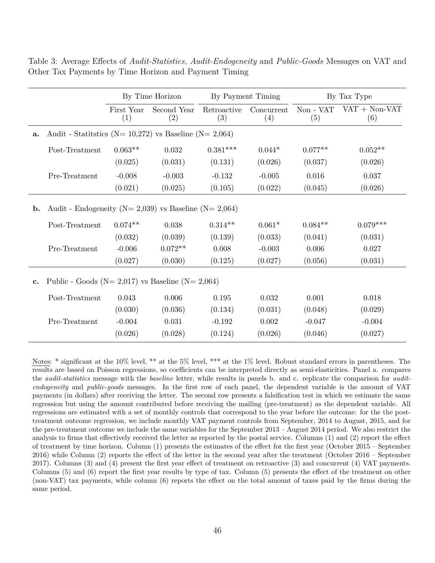|                |                                                                  | By Time Horizon   |                    |                    | By Payment Timing |                  | By Tax Type            |  |  |
|----------------|------------------------------------------------------------------|-------------------|--------------------|--------------------|-------------------|------------------|------------------------|--|--|
|                |                                                                  | First Year<br>(1) | Second Year<br>(2) | Retroactive<br>(3) | Concurrent<br>(4) | Non - VAT<br>(5) | $VAT + Non-VAT$<br>(6) |  |  |
| a.             | Audit - Statitutics ( $N = 10,272$ ) vs Baseline ( $N = 2,064$ ) |                   |                    |                    |                   |                  |                        |  |  |
|                | Post-Treatment                                                   | $0.063**$         | 0.032              | $0.381***$         | $0.044*$          | $0.077**$        | $0.052**$              |  |  |
|                |                                                                  | (0.025)           | (0.031)            | (0.131)            | (0.026)           | (0.037)          | (0.026)                |  |  |
|                | Pre-Treatment                                                    | $-0.008$          | $-0.003$           | $-0.132$           | $-0.005$          | 0.016            | 0.037                  |  |  |
|                |                                                                  | (0.021)           | (0.025)            | (0.105)            | (0.022)           | (0.045)          | (0.026)                |  |  |
| $\mathbf{b}$ . | Audit - Endogeneity ( $N = 2,039$ ) vs Baseline ( $N = 2,064$ )  |                   |                    |                    |                   |                  |                        |  |  |
|                | Post-Treatment                                                   | $0.074**$         | 0.038              | $0.314**$          | $0.061*$          | $0.084**$        | $0.079***$             |  |  |
|                |                                                                  | (0.032)           | (0.039)            | (0.139)            | (0.033)           | (0.041)          | (0.031)                |  |  |
|                | Pre-Treatment                                                    | $-0.006$          | $0.072**$          | 0.008              | $-0.003$          | 0.006            | 0.027                  |  |  |
|                |                                                                  | (0.027)           | (0.030)            | (0.125)            | (0.027)           | (0.056)          | (0.031)                |  |  |
| $\mathbf{c}$ . | Public - Goods ( $N = 2,017$ ) vs Baseline ( $N = 2,064$ )       |                   |                    |                    |                   |                  |                        |  |  |
|                | Post-Treatment                                                   | 0.043             | 0.006              | 0.195              | 0.032             | 0.001            | 0.018                  |  |  |
|                |                                                                  | (0.030)           | (0.036)            | (0.134)            | (0.031)           | (0.048)          | (0.029)                |  |  |
|                | Pre-Treatment                                                    | $-0.004$          | 0.031              | $-0.192$           | 0.002             | $-0.047$         | $-0.004$               |  |  |
|                |                                                                  | (0.026)           | (0.028)            | (0.124)            | (0.026)           | (0.046)          | (0.027)                |  |  |

Table 3: Average Effects of *Audit-Statistics*, *Audit-Endogeneity* and *Public-Goods* Messages on VAT and Other Tax Payments by Time Horizon and Payment Timing

Notes: \* significant at the 10% level, \*\* at the 5% level, \*\*\* at the 1% level. Robust standard errors in parentheses. The results are based on Poisson regressions, so coefficients can be interpreted directly as semi-elasticities. Panel a. compares the *audit-statistics* message with the *baseline* letter, while results in panels b. and c. replicate the comparison for *auditendogeneity* and *public-goods* messages. In the first row of each panel, the dependent variable is the amount of VAT payments (in dollars) after receiving the letter. The second row presents a falsification test in which we estimate the same regression but using the amount contributed before receiving the mailing (pre-treatment) as the dependent variable. All regressions are estimated with a set of monthly controls that correspond to the year before the outcome: for the the posttreatment outcome regression, we include monthly VAT payment controls from September, 2014 to August, 2015, and for the pre-treatment outcome we include the same variables for the September 2013 – August 2014 period. We also restrict the analysis to firms that effectively received the letter as reported by the postal service. Columns (1) and (2) report the effect of treatment by time horizon. Column (1) presents the estimates of the effect for the first year (October 2015 – September 2016) while Column (2) reports the effect of the letter in the second year after the treatment (October 2016 – September 2017). Columns (3) and (4) present the first year effect of treatment on retroactive (3) and concurrent (4) VAT payments. Columns (5) and (6) report the first year results by type of tax. Column (5) presents the effect of the treatment on other (non-VAT) tax payments, while column (6) reports the effect on the total amount of taxes paid by the firms during the same period.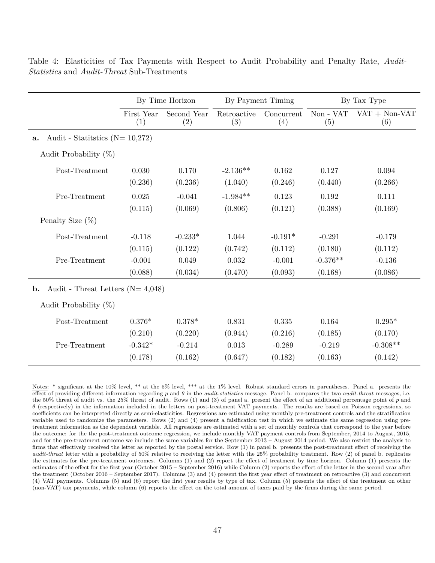|                                                                                      | By Time Horizon                 |                                | By Payment Timing           |                                  | By Tax Type                       |                                  |  |  |
|--------------------------------------------------------------------------------------|---------------------------------|--------------------------------|-----------------------------|----------------------------------|-----------------------------------|----------------------------------|--|--|
|                                                                                      | First Year<br>(1)               | Second Year<br>(2)             | Retroactive<br>(3)          | Concurrent<br>(4)                | Non - VAT<br>(5)                  | $VAT + Non-VAT$<br>(6)           |  |  |
| Audit - Statitstics ( $N = 10,272$ )<br>a.                                           |                                 |                                |                             |                                  |                                   |                                  |  |  |
| Audit Probability $(\%)$                                                             |                                 |                                |                             |                                  |                                   |                                  |  |  |
| Post-Treatment                                                                       | 0.030<br>(0.236)                | 0.170<br>(0.236)               | $-2.136**$<br>(1.040)       | 0.162<br>(0.246)                 | 0.127<br>(0.440)                  | 0.094<br>(0.266)                 |  |  |
| Pre-Treatment                                                                        | 0.025<br>(0.115)                | $-0.041$<br>(0.069)            | $-1.984**$<br>(0.806)       | 0.123<br>(0.121)                 | 0.192<br>(0.388)                  | 0.111<br>(0.169)                 |  |  |
| Penalty Size $(\%)$                                                                  |                                 |                                |                             |                                  |                                   |                                  |  |  |
| Post-Treatment<br>Pre-Treatment                                                      | $-0.118$<br>(0.115)<br>$-0.001$ | $-0.233*$<br>(0.122)<br>0.049  | 1.044<br>(0.742)<br>0.032   | $-0.191*$<br>(0.112)<br>$-0.001$ | $-0.291$<br>(0.180)<br>$-0.376**$ | $-0.179$<br>(0.112)<br>$-0.136$  |  |  |
|                                                                                      | (0.088)                         | (0.034)                        | (0.470)                     | (0.093)                          | (0.168)                           | (0.086)                          |  |  |
| Audit - Threat Letters ( $N = 4,048$ )<br>$\mathbf{b}$ .<br>Audit Probability $(\%)$ |                                 |                                |                             |                                  |                                   |                                  |  |  |
| Post-Treatment                                                                       | $0.376*$                        | $0.378*$                       | 0.831                       | 0.335                            | 0.164                             | $0.295*$                         |  |  |
| Pre-Treatment                                                                        | (0.210)<br>$-0.342*$<br>(0.178) | (0.220)<br>$-0.214$<br>(0.162) | (0.944)<br>0.013<br>(0.647) | (0.216)<br>$-0.289$<br>(0.182)   | (0.185)<br>$-0.219$<br>(0.163)    | (0.170)<br>$-0.308**$<br>(0.142) |  |  |

Table 4: Elasticities of Tax Payments with Respect to Audit Probability and Penalty Rate, *Audit-Statistics* and *Audit-Threat* Sub-Treatments

Notes: \* significant at the 10% level, \*\* at the 5% level, \*\*\* at the 1% level. Robust standard errors in parentheses. Panel a. presents the effect of providing different information regarding *p* and *θ* in the *audit-statistics* message. Panel b. compares the two *audit-threat* messages, i.e. the 50% threat of audit vs. the 25% threat of audit. Rows (1) and (3) of panel a. present the effect of an additional percentage point of *p* and *θ* (respectively) in the information included in the letters on post-treatment VAT payments. The results are based on Poisson regressions, so coefficients can be interpreted directly as semi-elasticities. Regressions are estimated using monthly pre-treatment controls and the stratification variable used to randomize the parameters. Rows (2) and (4) present a falsification test in which we estimate the same regression using pretreatment information as the dependent variable. All regressions are estimated with a set of monthly controls that correspond to the year before the outcome: for the the post-treatment outcome regression, we include monthly VAT payment controls from September, 2014 to August, 2015, and for the pre-treatment outcome we include the same variables for the September 2013 – August 2014 period. We also restrict the analysis to firms that effectively received the letter as reported by the postal service. Row (1) in panel b. presents the post-treatment effect of receiving the *audit-threat* letter with a probability of 50% relative to receiving the letter with the 25% probability treatment. Row (2) of panel b. replicates the estimates for the pre-treatment outcomes. Columns (1) and (2) report the effect of treatment by time horizon. Column (1) presents the estimates of the effect for the first year (October 2015 – September 2016) while Column (2) reports the effect of the letter in the second year after the treatment (October 2016 – September 2017). Columns (3) and (4) present the first year effect of treatment on retroactive (3) and concurrent (4) VAT payments. Columns (5) and (6) report the first year results by type of tax. Column (5) presents the effect of the treatment on other (non-VAT) tax payments, while column (6) reports the effect on the total amount of taxes paid by the firms during the same period.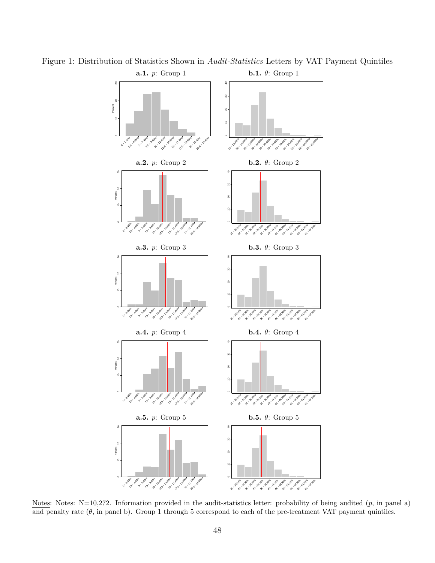

Figure 1: Distribution of Statistics Shown in *Audit-Statistics* Letters by VAT Payment Quintiles

Notes: Notes: N=10,272. Information provided in the audit-statistics letter: probability of being audited (*p*, in panel a) and penalty rate  $(\theta)$ , in panel b). Group 1 through 5 correspond to each of the pre-treatment VAT payment quintiles.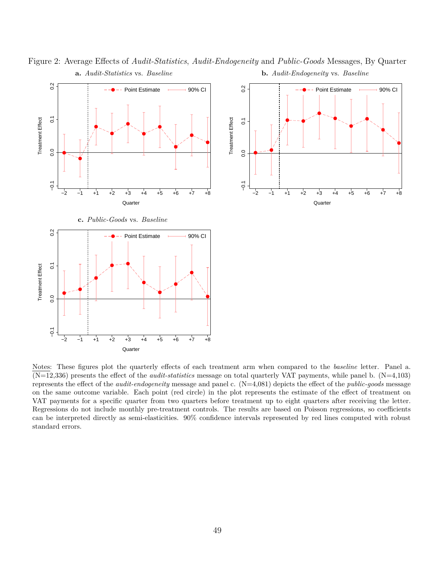

Figure 2: Average Effects of *Audit-Statistics*, *Audit-Endogeneity* and *Public-Goods* Messages, By Quarter **a.** *Audit-Statistics* vs. *Baseline* **b.** *Audit-Endogeneity* vs. *Baseline*

Notes: These figures plot the quarterly effects of each treatment arm when compared to the *baseline* letter. Panel a. (N=12,336) presents the effect of the *audit-statistics* message on total quarterly VAT payments, while panel b. (N=4,103) represents the effect of the *audit-endogeneity* message and panel c. (N=4,081) depicts the effect of the *public-goods* message on the same outcome variable. Each point (red circle) in the plot represents the estimate of the effect of treatment on VAT payments for a specific quarter from two quarters before treatment up to eight quarters after receiving the letter. Regressions do not include monthly pre-treatment controls. The results are based on Poisson regressions, so coefficients can be interpreted directly as semi-elasticities. 90% confidence intervals represented by red lines computed with robust standard errors.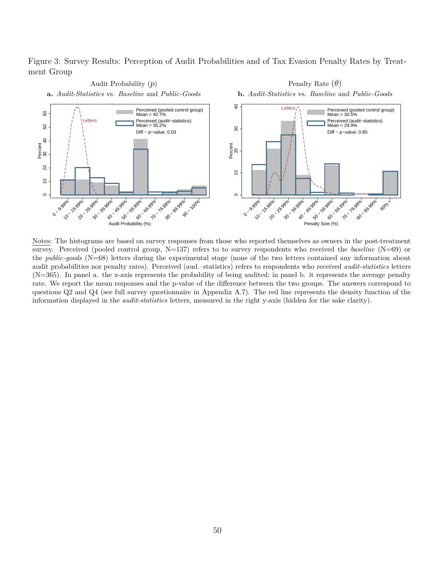Figure 3: Survey Results: Perception of Audit Probabilities and of Tax Evasion Penalty Rates by Treatment Group



Notes: The histograms are based on survey responses from those who reported themselves as owners in the post-treatment survey. Perceived (pooled control group, N=137) refers to to survey respondents who received the *baseline* (N=69) or the *public-goods* (N=68) letters during the experimental stage (none of the two letters contained any information about audit probabilities nor penalty rates). Perceived (aud.–statistics) refers to respondents who received *audit-statistics* letters (N=365). In panel a. the x-axis represents the probability of being audited; in panel b. it represents the average penalty rate. We report the mean responses and the p-value of the difference between the two groups. The answers correspond to questions Q2 and Q4 (see full survey questionnaire in Appendix A.7). The red line represents the density function of the information displayed in the *audit-statistics* letters, measured in the right y-axis (hidden for the sake clarity).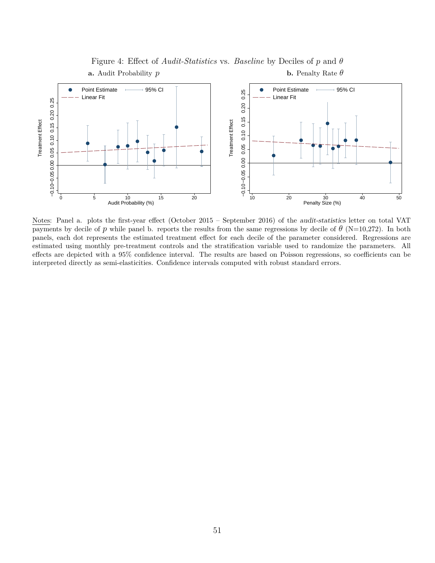

### Figure 4: Effect of *Audit-Statistics* vs. *Baseline* by Deciles of *p* and *θ* **a.** Audit Probability *p* **b.** Penalty Rate *θ*

Notes: Panel a. plots the first-year effect (October 2015 – September 2016) of the audit-statistics letter on total VAT payments by decile of *p* while panel b. reports the results from the same regressions by decile of  $\theta$  (N=10,272). In both panels, each dot represents the estimated treatment effect for each decile of the parameter considered. Regressions are estimated using monthly pre-treatment controls and the stratification variable used to randomize the parameters. All effects are depicted with a 95% confidence interval. The results are based on Poisson regressions, so coefficients can be interpreted directly as semi-elasticities. Confidence intervals computed with robust standard errors.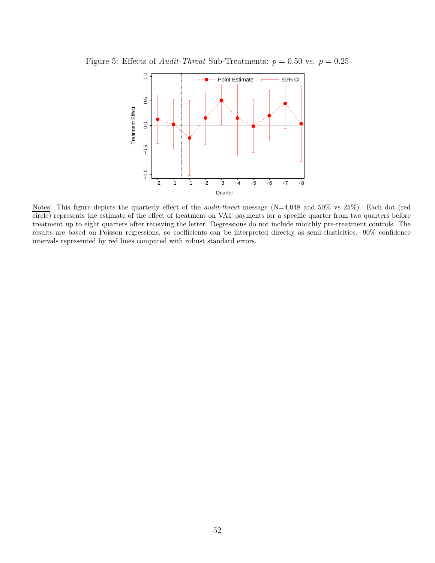

Figure 5: Effects of *Audit-Threat* Sub-Treatments:  $p = 0.50$  vs.  $p = 0.25$ 

Notes: This figure depicts the quarterly effect of the *audit-threat* message (N=4,048 and 50% vs 25%). Each dot (red circle) represents the estimate of the effect of treatment on VAT payments for a specific quarter from two quarters before treatment up to eight quarters after receiving the letter. Regressions do not include monthly pre-treatment controls. The results are based on Poisson regressions, so coefficients can be interpreted directly as semi-elasticities. 90% confidence intervals represented by red lines computed with robust standard errors.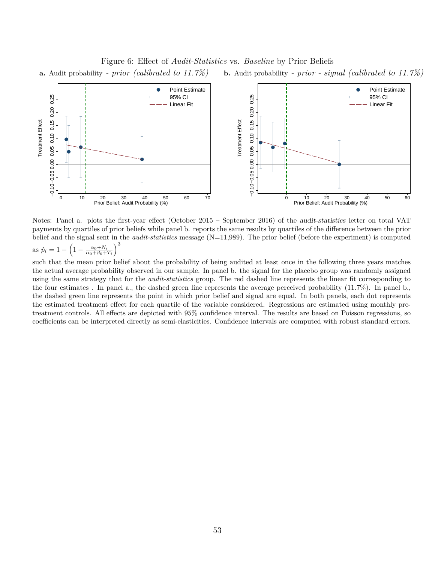Figure 6: Effect of *Audit-Statistics* vs. *Baseline* by Prior Beliefs **a.** Audit probability *- prior (calibrated to 11.7%)* **b.** Audit probability *- prior - signal (calibrated to 11.7%)*



Notes: Panel a. plots the first-year effect (October 2015 – September 2016) of the audit-statistics letter on total VAT payments by quartiles of prior beliefs while panel b. reports the same results by quartiles of the difference between the prior belief and the signal sent in the *audit-statistics* message (N=11,989). The prior belief (before the experiment) is computed as  $\hat{p}_i = 1 - \left(1 - \frac{\alpha_0 + N_i}{\alpha_0 + \beta_0 + T_i}\right)^3$ 

such that the mean prior belief about the probability of being audited at least once in the following three years matches the actual average probability observed in our sample. In panel b. the signal for the placebo group was randomly assigned using the same strategy that for the *audit-statistics* group. The red dashed line represents the linear fit corresponding to the four estimates . In panel a., the dashed green line represents the average perceived probability (11.7%). In panel b., the dashed green line represents the point in which prior belief and signal are equal. In both panels, each dot represents the estimated treatment effect for each quartile of the variable considered. Regressions are estimated using monthly pretreatment controls. All effects are depicted with 95% confidence interval. The results are based on Poisson regressions, so coefficients can be interpreted directly as semi-elasticities. Confidence intervals are computed with robust standard errors.